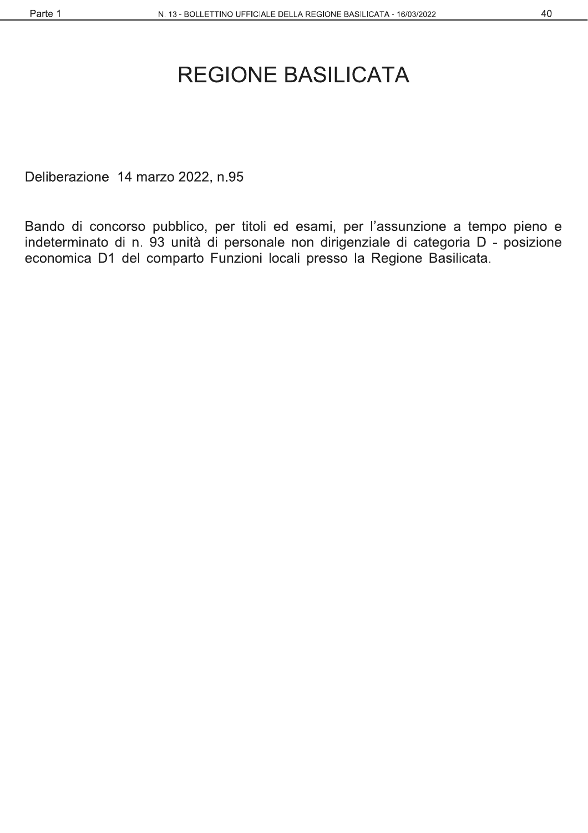#### 40

# **REGIONE BASILICATA**

Deliberazione 14 marzo 2022, n.95

Bando di concorso pubblico, per titoli ed esami, per l'assunzione a tempo pieno e indeterminato di n. 93 unità di personale non dirigenziale di categoria D - posizione economica D1 del comparto Funzioni locali presso la Regione Basilicata.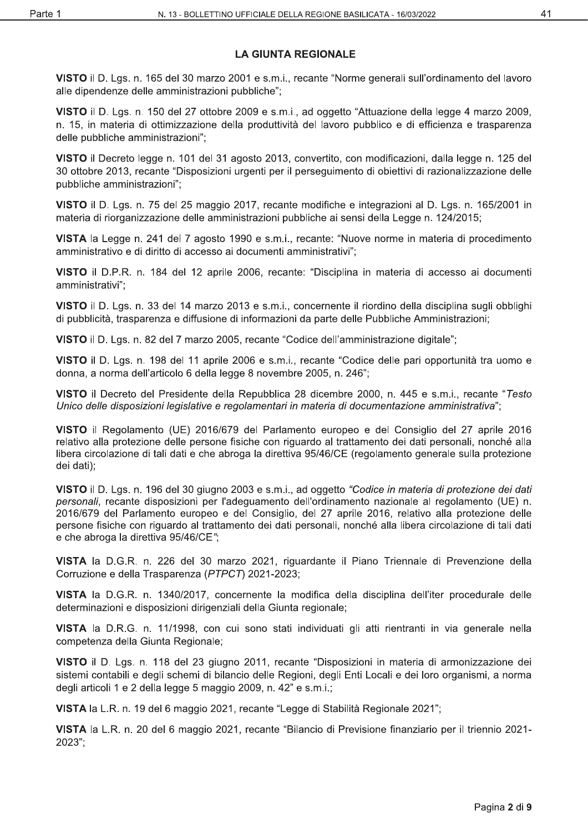## **LA GIUNTA REGIONALE**

VISTO il D. Lgs. n. 165 del 30 marzo 2001 e s.m.i., recante "Norme generali sull'ordinamento del lavoro alle dipendenze delle amministrazioni pubbliche";

VISTO il D. Lgs. n. 150 del 27 ottobre 2009 e s.m.i., ad oggetto "Attuazione della legge 4 marzo 2009, n. 15, in materia di ottimizzazione della produttività del lavoro pubblico e di efficienza e trasparenza delle pubbliche amministrazioni";

VISTO il Decreto legge n. 101 del 31 agosto 2013, convertito, con modificazioni, dalla legge n. 125 del 30 ottobre 2013, recante "Disposizioni urgenti per il perseguimento di obiettivi di razionalizzazione delle pubbliche amministrazioni":

VISTO il D. Lgs. n. 75 del 25 maggio 2017, recante modifiche e integrazioni al D. Lgs. n. 165/2001 in materia di riorganizzazione delle amministrazioni pubbliche ai sensi della Legge n. 124/2015;

VISTA la Legge n. 241 del 7 agosto 1990 e s.m.i., recante: "Nuove norme in materia di procedimento amministrativo e di diritto di accesso ai documenti amministrativi";

VISTO il D.P.R. n. 184 del 12 aprile 2006, recante: "Disciplina in materia di accesso ai documenti amministrativi";

VISTO il D. Lgs. n. 33 del 14 marzo 2013 e s.m.i., concernente il riordino della disciplina sugli obblighi di pubblicità, trasparenza e diffusione di informazioni da parte delle Pubbliche Amministrazioni;

VISTO il D. Lgs. n. 82 del 7 marzo 2005, recante "Codice dell'amministrazione digitale";

VISTO il D. Lgs. n. 198 del 11 aprile 2006 e s.m.i., recante "Codice delle pari opportunità tra uomo e donna, a norma dell'articolo 6 della legge 8 novembre 2005, n. 246";

VISTO il Decreto del Presidente della Repubblica 28 dicembre 2000, n. 445 e s.m.i., recante "Testo Unico delle disposizioni legislative e regolamentari in materia di documentazione amministrativa";

VISTO il Regolamento (UE) 2016/679 del Parlamento europeo e del Consiglio del 27 aprile 2016 relativo alla protezione delle persone fisiche con riguardo al trattamento dei dati personali, nonché alla libera circolazione di tali dati e che abroga la direttiva 95/46/CE (regolamento generale sulla protezione dei dati);

VISTO il D. Lgs. n. 196 del 30 giugno 2003 e s.m.i., ad oggetto "Codice in materia di protezione dei dati personali, recante disposizioni per l'adequamento dell'ordinamento nazionale al regolamento (UE) n. 2016/679 del Parlamento europeo e del Consiglio, del 27 aprile 2016, relativo alla protezione delle persone fisiche con riguardo al trattamento dei dati personali, nonché alla libera circolazione di tali dati e che abroga la direttiva 95/46/CE";

VISTA la D.G.R. n. 226 del 30 marzo 2021, riguardante il Piano Triennale di Prevenzione della Corruzione e della Trasparenza (PTPCT) 2021-2023;

VISTA la D.G.R. n. 1340/2017, concernente la modifica della disciplina dell'iter procedurale delle determinazioni e disposizioni dirigenziali della Giunta regionale;

VISTA la D.R.G. n. 11/1998, con cui sono stati individuati gli atti rientranti in via generale nella competenza della Giunta Regionale:

VISTO il D. Lgs. n. 118 del 23 giugno 2011, recante "Disposizioni in materia di armonizzazione dei sistemi contabili e degli schemi di bilancio delle Regioni, degli Enti Locali e dei loro organismi, a norma degli articoli 1 e 2 della legge 5 maggio 2009, n. 42" e s.m.i.;

VISTA la L.R. n. 19 del 6 maggio 2021, recante "Legge di Stabilità Regionale 2021";

VISTA la L.R. n. 20 del 6 maggio 2021, recante "Bilancio di Previsione finanziario per il triennio 2021-2023":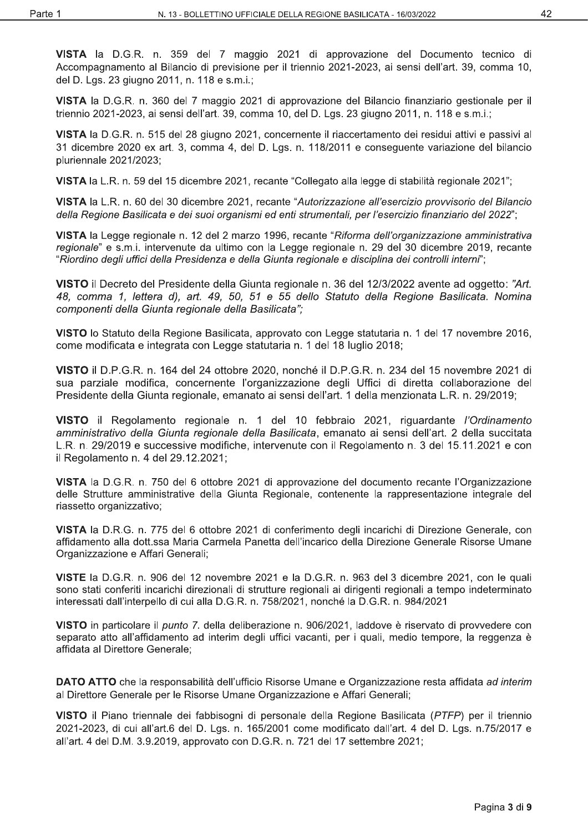VISTA la D.G.R. n. 359 del 7 maggio 2021 di approvazione del Documento tecnico di Accompagnamento al Bilancio di previsione per il triennio 2021-2023, ai sensi dell'art. 39, comma 10, del D. Lgs. 23 giugno 2011, n. 118 e s.m.i.;

VISTA la D.G.R. n. 360 del 7 maggio 2021 di approvazione del Bilancio finanziario gestionale per il triennio 2021-2023, ai sensi dell'art. 39, comma 10, del D. Lgs. 23 giugno 2011, n. 118 e s.m.i.;

VISTA la D.G.R. n. 515 del 28 giugno 2021, concernente il riaccertamento dei residui attivi e passivi al 31 dicembre 2020 ex art. 3, comma 4, del D. Lgs. n. 118/2011 e conseguente variazione del bilancio pluriennale 2021/2023;

VISTA la L.R. n. 59 del 15 dicembre 2021, recante "Collegato alla legge di stabilità regionale 2021";

VISTA la L.R. n. 60 del 30 dicembre 2021, recante "Autorizzazione all'esercizio provvisorio del Bilancio della Regione Basilicata e dei suoi organismi ed enti strumentali, per l'esercizio finanziario del 2022";

VISTA la Legge regionale n. 12 del 2 marzo 1996, recante "Riforma dell'organizzazione amministrativa" regionale" e s.m.i. intervenute da ultimo con la Legge regionale n. 29 del 30 dicembre 2019, recante "Riordino degli uffici della Presidenza e della Giunta regionale e disciplina dei controlli interni";

VISTO il Decreto del Presidente della Giunta regionale n. 36 del 12/3/2022 avente ad oggetto: "Art. 48, comma 1, lettera d), art. 49, 50, 51 e 55 dello Statuto della Regione Basilicata. Nomina componenti della Giunta regionale della Basilicata":

VISTO lo Statuto della Regione Basilicata, approvato con Legge statutaria n. 1 del 17 novembre 2016. come modificata e integrata con Legge statutaria n. 1 del 18 luglio 2018;

VISTO il D.P.G.R. n. 164 del 24 ottobre 2020, nonché il D.P.G.R. n. 234 del 15 novembre 2021 di sua parziale modifica, concernente l'organizzazione degli Uffici di diretta collaborazione del Presidente della Giunta regionale, emanato ai sensi dell'art. 1 della menzionata L.R. n. 29/2019;

VISTO il Regolamento regionale n. 1 del 10 febbraio 2021, riguardante l'Ordinamento amministrativo della Giunta regionale della Basilicata, emanato ai sensi dell'art. 2 della succitata L.R. n. 29/2019 e successive modifiche, intervenute con il Regolamento n. 3 del 15.11.2021 e con il Regolamento n. 4 del 29.12.2021;

VISTA la D.G.R. n. 750 del 6 ottobre 2021 di approvazione del documento recante l'Organizzazione delle Strutture amministrative della Giunta Regionale, contenente la rappresentazione integrale del riassetto organizzativo;

VISTA la D.R.G. n. 775 del 6 ottobre 2021 di conferimento degli incarichi di Direzione Generale, con affidamento alla dott.ssa Maria Carmela Panetta dell'incarico della Direzione Generale Risorse Umane Organizzazione e Affari Generali;

VISTE la D.G.R. n. 906 del 12 novembre 2021 e la D.G.R. n. 963 del 3 dicembre 2021, con le quali sono stati conferiti incarichi direzionali di strutture regionali ai dirigenti regionali a tempo indeterminato interessati dall'interpello di cui alla D.G.R. n. 758/2021, nonché la D.G.R. n. 984/2021

VISTO in particolare il *punto* 7, della deliberazione n. 906/2021, laddove è riservato di provvedere con separato atto all'affidamento ad interim degli uffici vacanti, per i quali, medio tempore, la reggenza è affidata al Direttore Generale;

DATO ATTO che la responsabilità dell'ufficio Risorse Umane e Organizzazione resta affidata ad interim al Direttore Generale per le Risorse Umane Organizzazione e Affari Generali;

VISTO il Piano triennale dei fabbisogni di personale della Regione Basilicata (PTFP) per il triennio 2021-2023, di cui all'art.6 del D. Lgs. n. 165/2001 come modificato dall'art. 4 del D. Lgs. n.75/2017 e all'art. 4 del D.M. 3.9.2019, approvato con D.G.R. n. 721 del 17 settembre 2021;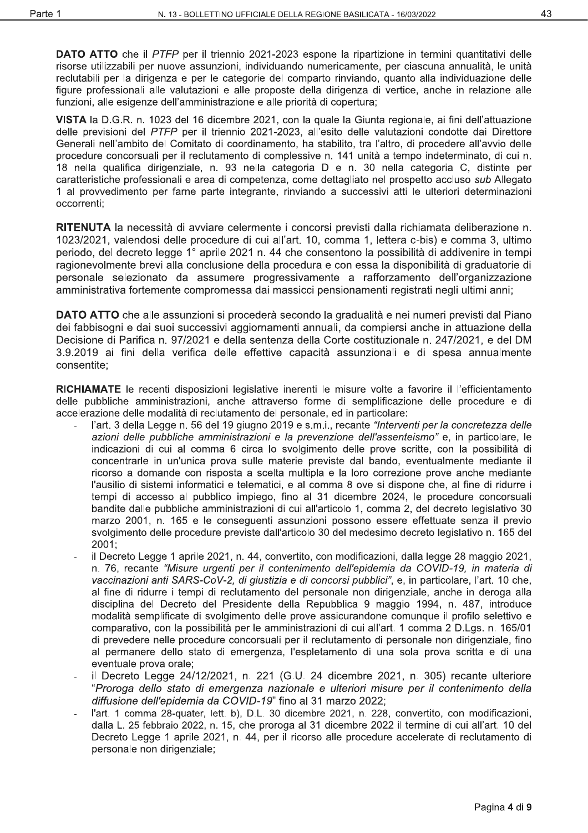**DATO ATTO** che il PTFP per il triennio 2021-2023 espone la ripartizione in termini quantitativi delle risorse utilizzabili per nuove assunzioni, individuando numericamente, per ciascuna annualità, le unità reclutabili per la dirigenza e per le categorie del comparto rinviando, quanto alla individuazione delle figure professionali alle valutazioni e alle proposte della dirigenza di vertice, anche in relazione alle funzioni, alle esigenze dell'amministrazione e alle priorità di copertura;

VISTA la D.G.R. n. 1023 del 16 dicembre 2021, con la quale la Giunta regionale, ai fini dell'attuazione delle previsioni del PTFP per il triennio 2021-2023, all'esito delle valutazioni condotte dai Direttore Generali nell'ambito del Comitato di coordinamento, ha stabilito, tra l'altro, di procedere all'avvio delle procedure concorsuali per il reclutamento di complessive n. 141 unità a tempo indeterminato, di cui n. .<br>18 nella qualifica dirigenziale, n. 93 nella categoria D e n. 30 nella categoria C, distinte per caratteristiche professionali e area di competenza, come dettagliato nel prospetto accluso sub Allegato 1 al provvedimento per farne parte integrante, rinviando a successivi atti le ulteriori determinazioni occorrenti:

RITENUTA la necessità di avviare celermente i concorsi previsti dalla richiamata deliberazione n. 1023/2021, valendosi delle procedure di cui all'art. 10, comma 1, lettera c-bis) e comma 3, ultimo periodo, del decreto legge 1° aprile 2021 n. 44 che consentono la possibilità di addivenire in tempi ragionevolmente brevi alla conclusione della procedura e con essa la disponibilità di graduatorie di personale selezionato da assumere progressivamente a rafforzamento dell'organizzazione amministrativa fortemente compromessa dai massicci pensionamenti registrati negli ultimi anni;

DATO ATTO che alle assunzioni si procederà secondo la gradualità e nei numeri previsti dal Piano dei fabbisogni e dai suoi successivi aggiornamenti annuali, da compiersi anche in attuazione della Decisione di Parifica n. 97/2021 e della sentenza della Corte costituzionale n. 247/2021, e del DM 3.9.2019 ai fini della verifica delle effettive capacità assunzionali e di spesa annualmente consentite:

RICHIAMATE le recenti disposizioni legislative inerenti le misure volte a favorire il l'efficientamento delle pubbliche amministrazioni, anche attraverso forme di semplificazione delle procedure e di accelerazione delle modalità di reclutamento del personale, ed in particolare:

- l'art. 3 della Legge n. 56 del 19 giugno 2019 e s.m.i., recante "Interventi per la concretezza delle azioni delle pubbliche amministrazioni e la prevenzione dell'assenteismo" e, in particolare, le indicazioni di cui al comma 6 circa lo svolgimento delle prove scritte, con la possibilità di concentrarle in un'unica prova sulle materie previste dal bando, eventualmente mediante il ricorso a domande con risposta a scelta multipla e la loro correzione prove anche mediante l'ausilio di sistemi informatici e telematici, e al comma 8 ove si dispone che, al fine di ridurre i tempi di accesso al pubblico impiego, fino al 31 dicembre 2024, le procedure concorsuali bandite dalle pubbliche amministrazioni di cui all'articolo 1, comma 2, del decreto legislativo 30 marzo 2001, n. 165 e le conseguenti assunzioni possono essere effettuate senza il previo svolgimento delle procedure previste dall'articolo 30 del medesimo decreto legislativo n. 165 del 2001:
- il Decreto Legge 1 aprile 2021, n. 44, convertito, con modificazioni, dalla legge 28 maggio 2021, n. 76, recante "Misure urgenti per il contenimento dell'epidemia da COVID-19, in materia di vaccinazioni anti SARS-CoV-2, di giustizia e di concorsi pubblici", e, in particolare, l'art. 10 che. al fine di ridurre i tempi di reclutamento del personale non dirigenziale, anche in deroga alla disciplina del Decreto del Presidente della Repubblica 9 maggio 1994, n. 487, introduce modalità semplificate di svolgimento delle prove assicurandone comunque il profilo selettivo e comparativo, con la possibilità per le amministrazioni di cui all'art. 1 comma 2 D.Lgs. n. 165/01 di prevedere nelle procedure concorsuali per il reclutamento di personale non dirigenziale, fino al permanere dello stato di emergenza, l'espletamento di una sola prova scritta e di una eventuale prova orale;
- il Decreto Legge 24/12/2021, n. 221 (G.U. 24 dicembre 2021, n. 305) recante ulteriore "Proroga dello stato di emergenza nazionale e ulteriori misure per il contenimento della diffusione dell'epidemia da COVID-19" fino al 31 marzo 2022;
- l'art. 1 comma 28-quater, lett. b), D.L. 30 dicembre 2021, n. 228, convertito, con modificazioni, dalla L. 25 febbraio 2022, n. 15, che proroga al 31 dicembre 2022 il termine di cui all'art. 10 del Decreto Legge 1 aprile 2021, n. 44, per il ricorso alle procedure accelerate di reclutamento di personale non dirigenziale;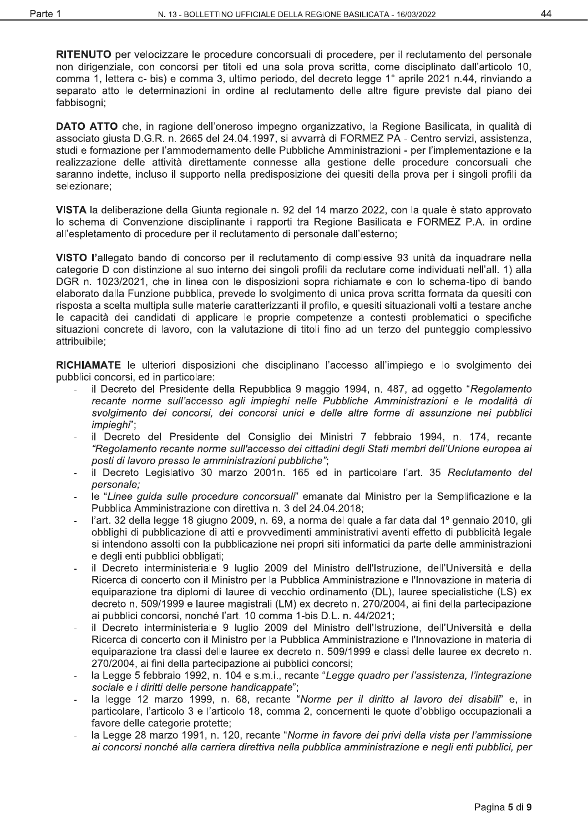RITENUTO per velocizzare le procedure concorsuali di procedere, per il reclutamento del personale non dirigenziale, con concorsi per titoli ed una sola prova scritta, come disciplinato dall'articolo 10, comma 1, lettera c- bis) e comma 3, ultimo periodo, del decreto legge 1° aprile 2021 n.44, rinviando a separato atto le determinazioni in ordine al reclutamento delle altre figure previste dal piano dei fabbisogni;

DATO ATTO che, in ragione dell'oneroso impegno organizzativo, la Regione Basilicata, in qualità di associato giusta D.G.R. n. 2665 del 24.04.1997, si avvarrà di FORMEZ PA - Centro servizi, assistenza, studi e formazione per l'ammodernamento delle Pubbliche Amministrazioni - per l'implementazione e la realizzazione delle attività direttamente connesse alla gestione delle procedure concorsuali che saranno indette, incluso il supporto nella predisposizione dei quesiti della prova per i singoli profili da selezionare:

VISTA la deliberazione della Giunta regionale n. 92 del 14 marzo 2022, con la quale è stato approvato lo schema di Convenzione disciplinante i rapporti tra Regione Basilicata e FORMEZ P.A. in ordine all'espletamento di procedure per il reclutamento di personale dall'esterno;

VISTO l'allegato bando di concorso per il reclutamento di complessive 93 unità da inquadrare nella categorie D con distinzione al suo interno dei singoli profili da reclutare come individuati nell'all. 1) alla DGR n. 1023/2021, che in linea con le disposizioni sopra richiamate e con lo schema-tipo di bando elaborato dalla Funzione pubblica, prevede lo svolgimento di unica prova scritta formata da quesiti con risposta a scelta multipla sulle materie caratterizzanti il profilo, e quesiti situazionali volti a testare anche le capacità dei candidati di applicare le proprie competenze a contesti problematici o specifiche situazioni concrete di lavoro, con la valutazione di titoli fino ad un terzo del punteggio complessivo attribuibile;

RICHIAMATE le ulteriori disposizioni che disciplinano l'accesso all'impiego e lo svolgimento dei pubblici concorsi, ed in particolare:

- il Decreto del Presidente della Repubblica 9 maggio 1994, n. 487, ad oggetto "Regolamento" recante norme sull'accesso agli impieghi nelle Pubbliche Amministrazioni e le modalità di svolgimento dei concorsi, dei concorsi unici e delle altre forme di assunzione nei pubblici impieghi";
- il Decreto del Presidente del Consiglio dei Ministri 7 febbraio 1994, n. 174, recante "Regolamento recante norme sull'accesso dei cittadini degli Stati membri dell'Unione europea ai posti di lavoro presso le amministrazioni pubbliche";
- il Decreto Legislativo 30 marzo 2001n. 165 ed in particolare l'art. 35 Reclutamento del personale:
- le "Linee quida sulle procedure concorsuali" emanate dal Ministro per la Semplificazione e la Pubblica Amministrazione con direttiva n. 3 del 24.04.2018:
- l'art. 32 della legge 18 giugno 2009, n. 69, a norma del quale a far data dal 1º gennaio 2010, gli obblighi di pubblicazione di atti e provvedimenti amministrativi aventi effetto di pubblicità legale si intendono assolti con la pubblicazione nei propri siti informatici da parte delle amministrazioni e degli enti pubblici obbligati;
- il Decreto interministeriale 9 luglio 2009 del Ministro dell'Istruzione, dell'Università e della Ricerca di concerto con il Ministro per la Pubblica Amministrazione e l'Innovazione in materia di equiparazione tra diplomi di lauree di vecchio ordinamento (DL). lauree specialistiche (LS) ex decreto n. 509/1999 e lauree magistrali (LM) ex decreto n. 270/2004, ai fini della partecipazione ai pubblici concorsi, nonché l'art. 10 comma 1-bis D.L. n. 44/2021;
- il Decreto interministeriale 9 luglio 2009 del Ministro dell'Istruzione, dell'Università e della Ricerca di concerto con il Ministro per la Pubblica Amministrazione e l'Innovazione in materia di equiparazione tra classi delle lauree ex decreto n. 509/1999 e classi delle lauree ex decreto n. 270/2004, ai fini della partecipazione ai pubblici concorsi;
- la Legge 5 febbraio 1992, n. 104 e s.m.i., recante "Legge quadro per l'assistenza, l'integrazione sociale e i diritti delle persone handicappate";
- la legge 12 marzo 1999, n. 68, recante "Norme per il diritto al lavoro dei disabili" e, in particolare, l'articolo 3 e l'articolo 18, comma 2, concernenti le quote d'obbligo occupazionali a favore delle categorie protette;
- la Legge 28 marzo 1991, n. 120, recante "Norme in favore dei privi della vista per l'ammissione ai concorsi nonché alla carriera direttiva nella pubblica amministrazione e negli enti pubblici, per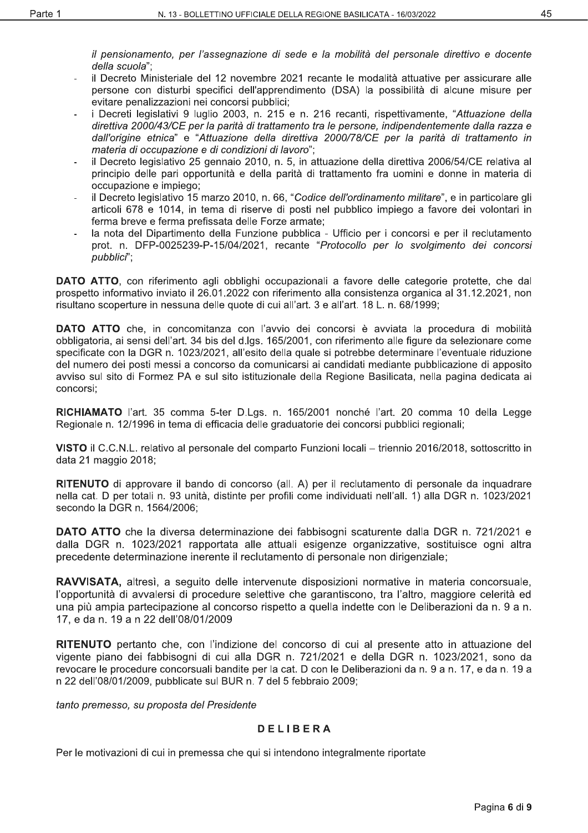il pensionamento, per l'assegnazione di sede e la mobilità del personale direttivo e docente della scuola":

- il Decreto Ministeriale del 12 novembre 2021 recante le modalità attuative per assicurare alle persone con disturbi specifici dell'apprendimento (DSA) la possibilità di alcune misure per evitare penalizzazioni nei concorsi pubblici;
- i Decreti legislativi 9 luglio 2003, n. 215 e n. 216 recanti, rispettivamente, "Attuazione della direttiva 2000/43/CE per la parità di trattamento tra le persone, indipendentemente dalla razza e dall'origine etnica" e "Attuazione della direttiva 2000/78/CE per la parità di trattamento in materia di occupazione e di condizioni di lavoro":
- il Decreto legislativo 25 gennaio 2010, n. 5, in attuazione della direttiva 2006/54/CE relativa al principio delle pari opportunità e della parità di trattamento fra uomini e donne in materia di occupazione e impiego;
- il Decreto legislativo 15 marzo 2010, n. 66, "Codice dell'ordinamento militare", e in particolare gli articoli 678 e 1014, in tema di riserve di posti nel pubblico impiego a favore dei volontari in ferma breve e ferma prefissata delle Forze armate;
- la nota del Dipartimento della Funzione pubblica Ufficio per i concorsi e per il reclutamento prot. n. DFP-0025239-P-15/04/2021, recante "Protocollo per lo svolgimento dei concorsi pubblici":

**DATO ATTO**, con riferimento agli obblighi occupazionali a favore delle categorie protette, che dal prospetto informativo inviato il 26.01.2022 con riferimento alla consistenza organica al 31.12.2021, non risultano scoperture in nessuna delle quote di cui all'art. 3 e all'art. 18 L. n. 68/1999;

DATO ATTO che, in concomitanza con l'avvio dei concorsi è avviata la procedura di mobilità obbligatoria, ai sensi dell'art. 34 bis del d.lgs. 165/2001, con riferimento alle figure da selezionare come specificate con la DGR n. 1023/2021, all'esito della quale si potrebbe determinare l'eventuale riduzione del numero dei posti messi a concorso da comunicarsi ai candidati mediante pubblicazione di apposito avviso sul sito di Formez PA e sul sito istituzionale della Regione Basilicata, nella pagina dedicata ai concorsi:

RICHIAMATO l'art. 35 comma 5-ter D.Lgs. n. 165/2001 nonché l'art. 20 comma 10 della Legge Regionale n. 12/1996 in tema di efficacia delle graduatorie dei concorsi pubblici regionali;

VISTO il C.C.N.L. relativo al personale del comparto Funzioni locali - triennio 2016/2018, sottoscritto in data 21 maggio 2018;

RITENUTO di approvare il bando di concorso (all. A) per il reclutamento di personale da inquadrare nella cat. D per totali n. 93 unità, distinte per profili come individuati nell'all. 1) alla DGR n. 1023/2021 secondo la DGR n. 1564/2006;

**DATO ATTO** che la diversa determinazione dei fabbisogni scaturente dalla DGR n. 721/2021 e dalla DGR n. 1023/2021 rapportata alle attuali esigenze organizzative, sostituisce ogni altra precedente determinazione inerente il reclutamento di personale non dirigenziale;

RAVVISATA, altresì, a seguito delle intervenute disposizioni normative in materia concorsuale, l'opportunità di avvalersi di procedure selettive che garantiscono, tra l'altro, maggiore celerità ed una più ampia partecipazione al concorso rispetto a quella indette con le Deliberazioni da n. 9 a n. 17, e da n. 19 a n 22 dell'08/01/2009

RITENUTO pertanto che, con l'indizione del concorso di cui al presente atto in attuazione del vigente piano dei fabbisogni di cui alla DGR n. 721/2021 e della DGR n. 1023/2021, sono da revocare le procedure concorsuali bandite per la cat. D con le Deliberazioni da n. 9 a n. 17, e da n. 19 a n 22 dell'08/01/2009, pubblicate sul BUR n. 7 del 5 febbraio 2009;

tanto premesso, su proposta del Presidente

#### **DELIBERA**

Per le motivazioni di cui in premessa che qui si intendono integralmente riportate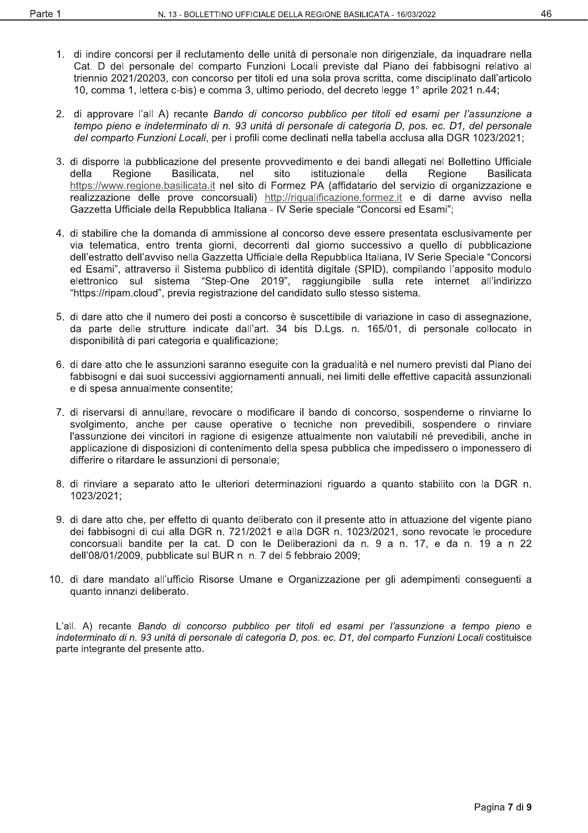- 1. di indire concorsi per il reclutamento delle unità di personale non dirigenziale, da inguadrare nella Cat. D del personale del comparto Funzioni Locali previste dal Piano dei fabbisogni relativo al triennio 2021/20203, con concorso per titoli ed una sola prova scritta, come disciplinato dall'articolo 10, comma 1, lettera c-bis) e comma 3, ultimo periodo, del decreto legge 1° aprile 2021 n.44;
- 2. di approvare l'all A) recante Bando di concorso pubblico per titoli ed esami per l'assunzione a tempo pieno e indeterminato di n. 93 unità di personale di categoria D. pos. ec. D1, del personale del comparto Funzioni Locali, per i profili come declinati nella tabella acclusa alla DGR 1023/2021;
- 3. di disporre la pubblicazione del presente provvedimento e dei bandi allegati nel Bollettino Ufficiale Regione Basilicata, istituzionale Regione della nel sito della **Basilicata** https://www.regione.basilicata.it nel sito di Formez PA (affidatario del servizio di organizzazione e realizzazione delle prove concorsuali) http://riqualificazione.formez.it e di darne avviso nella Gazzetta Ufficiale della Repubblica Italiana - IV Serie speciale "Concorsi ed Esami";
- 4. di stabilire che la domanda di ammissione al concorso deve essere presentata esclusivamente per via telematica, entro trenta giorni, decorrenti dal giorno successivo a quello di pubblicazione dell'estratto dell'avviso nella Gazzetta Ufficiale della Repubblica Italiana, IV Serie Speciale "Concorsi ed Esami", attraverso il Sistema pubblico di identità digitale (SPID), compilando l'apposito modulo elettronico sul sistema "Step-One 2019", raggiungibile sulla rete internet all'indirizzo "https://ripam.cloud", previa registrazione del candidato sullo stesso sistema.
- 5. di dare atto che il numero dei posti a concorso è suscettibile di variazione in caso di assegnazione, da parte delle strutture indicate dall'art. 34 bis D.Lgs. n. 165/01, di personale collocato in disponibilità di pari categoria e qualificazione;
- 6. di dare atto che le assunzioni saranno eseguite con la gradualità e nel numero previsti dal Piano dei fabbisogni e dai suoi successivi aggiornamenti annuali, nei limiti delle effettive capacità assunzionali e di spesa annualmente consentite:
- 7. di riservarsi di annullare, revocare o modificare il bando di concorso, sospenderne o rinviarne lo svolgimento, anche per cause operative o tecniche non prevedibili, sospendere o rinviare l'assunzione dei vincitori in ragione di esigenze attualmente non valutabili né prevedibili, anche in applicazione di disposizioni di contenimento della spesa pubblica che impedissero o imponessero di differire o ritardare le assunzioni di personale;
- 8. di rinviare a separato atto le ulteriori determinazioni riguardo a quanto stabilito con la DGR n. 1023/2021;
- 9. di dare atto che, per effetto di quanto deliberato con il presente atto in attuazione del vigente piano dei fabbisogni di cui alla DGR n. 721/2021 e alla DGR n. 1023/2021, sono revocate le procedure concorsuali bandite per la cat. D con le Deliberazioni da n. 9 a n. 17, e da n. 19 a n 22 dell'08/01/2009, pubblicate sul BUR n. n. 7 del 5 febbraio 2009;
- 10. di dare mandato all'ufficio Risorse Umane e Organizzazione per gli adempimenti conseguenti a quanto innanzi deliberato.

L'all. A) recante Bando di concorso pubblico per titoli ed esami per l'assunzione a tempo pieno e indeterminato di n. 93 unità di personale di categoria D, pos. ec. D1, del comparto Funzioni Locali costituisce parte integrante del presente atto.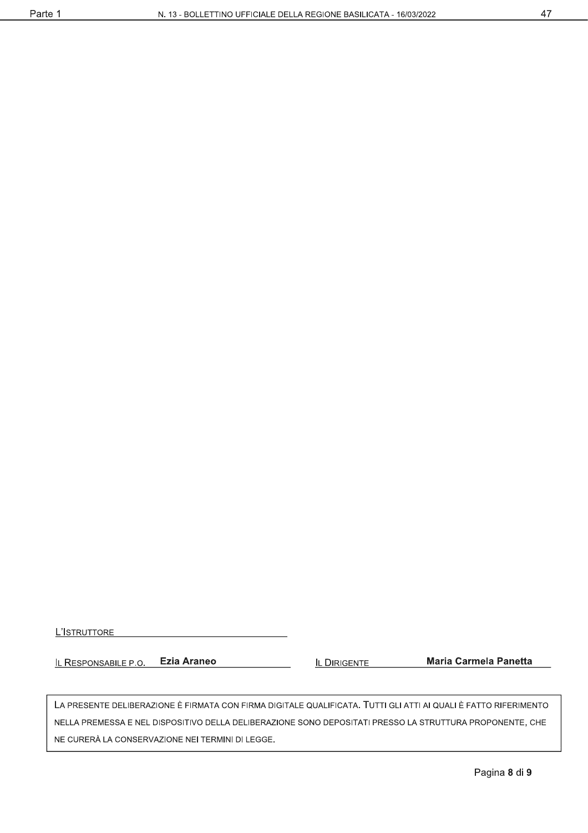L'ISTRUTTORE

**Ezia Araneo** IL RESPONSABILE P.O.

**IL DIRIGENTE** 

**Maria Carmela Panetta** 

LA PRESENTE DELIBERAZIONE È FIRMATA CON FIRMA DIGITALE QUALIFICATA. TUTTI GLI ATTI AI QUALI È FATTO RIFERIMENTO NELLA PREMESSA E NEL DISPOSITIVO DELLA DELIBERAZIONE SONO DEPOSITATI PRESSO LA STRUTTURA PROPONENTE, CHE NE CURERÀ LA CONSERVAZIONE NEI TERMINI DI LEGGE.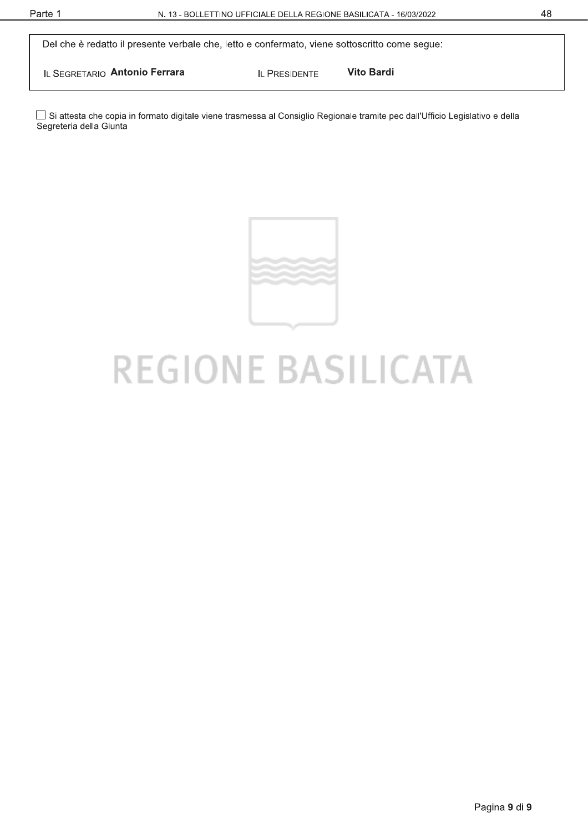Del che è redatto il presente verbale che, letto e confermato, viene sottoscritto come segue:

IL SEGRETARIO Antonio Ferrara

**Vito Bardi IL PRESIDENTE** 

□ Si attesta che copia in formato digitale viene trasmessa al Consiglio Regionale tramite pec dall'Ufficio Legislativo e della Segreteria della Giunta



# **REGIONE BASILICATA**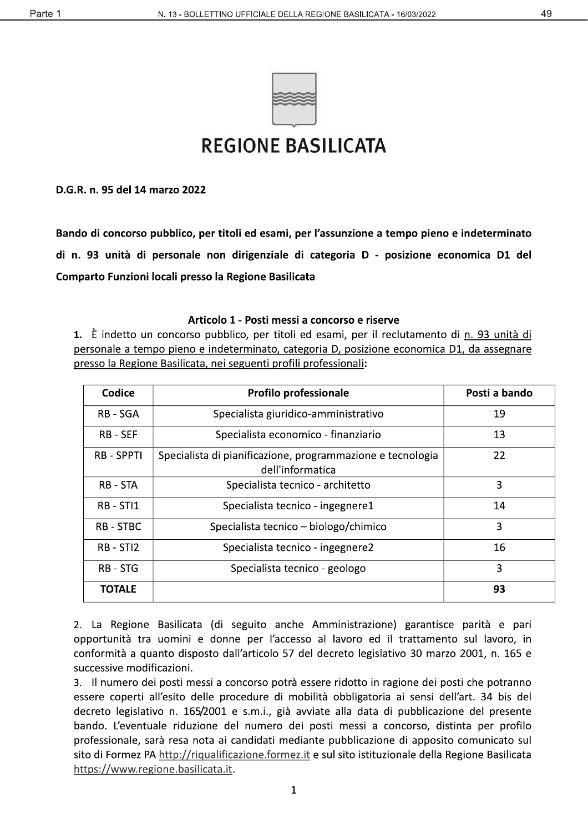

# **REGIONE BASILICATA**

D.G.R. n. 95 del 14 marzo 2022

Bando di concorso pubblico, per titoli ed esami, per l'assunzione a tempo pieno e indeterminato di n. 93 unità di personale non dirigenziale di categoria D - posizione economica D1 del Comparto Funzioni locali presso la Regione Basilicata

#### Articolo 1 - Posti messi a concorso e riserve

1. È indetto un concorso pubblico, per titoli ed esami, per il reclutamento di n. 93 unità di personale a tempo pieno e indeterminato, categoria D, posizione economica D1, da assegnare presso la Regione Basilicata, nei seguenti profili professionali:

| Codice          | <b>Profilo professionale</b>                                                   | Posti a bando |
|-----------------|--------------------------------------------------------------------------------|---------------|
| RB - SGA        | Specialista giuridico-amministrativo                                           | 19            |
| <b>RB - SEF</b> | Specialista economico - finanziario                                            | 13            |
| <b>RB-SPPTI</b> | Specialista di pianificazione, programmazione e tecnologia<br>dell'informatica | 22            |
| RB - STA        | Specialista tecnico - architetto                                               | 3             |
| RB - STI1       | Specialista tecnico - ingegnere1                                               | 14            |
| <b>RB-STBC</b>  | Specialista tecnico – biologo/chimico                                          | 3             |
| RB - STI2       | Specialista tecnico - ingegnere2                                               | 16            |
| <b>RB - STG</b> | Specialista tecnico - geologo                                                  | 3             |
| <b>TOTALE</b>   |                                                                                | 93            |

2. La Regione Basilicata (di seguito anche Amministrazione) garantisce parità e pari opportunità tra uomini e donne per l'accesso al lavoro ed il trattamento sul lavoro, in conformità a quanto disposto dall'articolo 57 del decreto legislativo 30 marzo 2001, n. 165 e successive modificazioni.

3. Il numero dei posti messi a concorso potrà essere ridotto in ragione dei posti che potranno essere coperti all'esito delle procedure di mobilità obbligatoria ai sensi dell'art. 34 bis del decreto legislativo n. 165/2001 e s.m.i., già avviate alla data di pubblicazione del presente bando. L'eventuale riduzione del numero dei posti messi a concorso, distinta per profilo professionale, sarà resa nota ai candidati mediante pubblicazione di apposito comunicato sul sito di Formez PA http://riqualificazione.formez.it e sul sito istituzionale della Regione Basilicata https://www.regione.basilicata.it.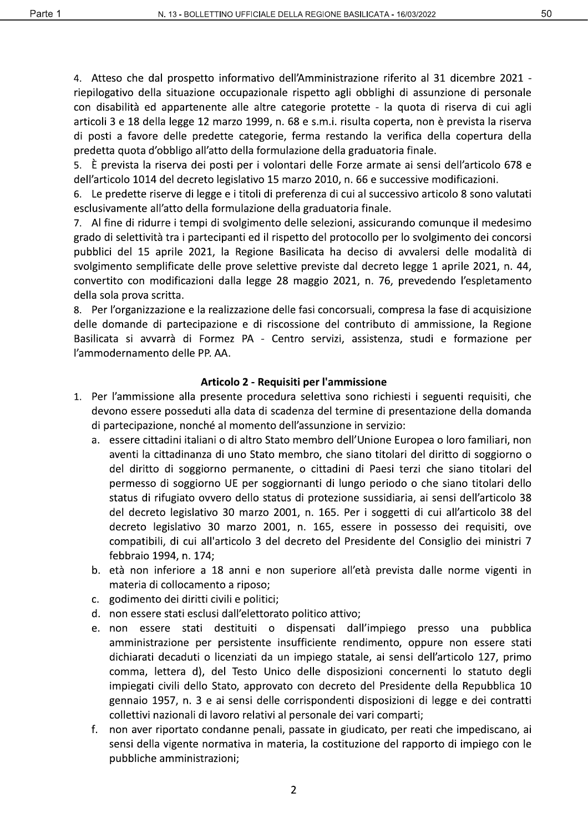50

4. Atteso che dal prospetto informativo dell'Amministrazione riferito al 31 dicembre 2021 riepilogativo della situazione occupazionale rispetto agli obblighi di assunzione di personale con disabilità ed appartenente alle altre categorie protette - la quota di riserva di cui agli articoli 3 e 18 della legge 12 marzo 1999, n. 68 e s.m.i. risulta coperta, non è prevista la riserva di posti a favore delle predette categorie, ferma restando la verifica della copertura della predetta quota d'obbligo all'atto della formulazione della graduatoria finale.

5. È prevista la riserva dei posti per i volontari delle Forze armate ai sensi dell'articolo 678 e dell'articolo 1014 del decreto legislativo 15 marzo 2010, n. 66 e successive modificazioni.

6. Le predette riserve di legge e i titoli di preferenza di cui al successivo articolo 8 sono valutati esclusivamente all'atto della formulazione della graduatoria finale.

7. Al fine di ridurre i tempi di svolgimento delle selezioni, assicurando comunque il medesimo grado di selettività tra i partecipanti ed il rispetto del protocollo per lo svolgimento dei concorsi pubblici del 15 aprile 2021, la Regione Basilicata ha deciso di avvalersi delle modalità di svolgimento semplificate delle prove selettive previste dal decreto legge 1 aprile 2021, n. 44, convertito con modificazioni dalla legge 28 maggio 2021, n. 76, prevedendo l'espletamento della sola prova scritta.

8. Per l'organizzazione e la realizzazione delle fasi concorsuali, compresa la fase di acquisizione delle domande di partecipazione e di riscossione del contributo di ammissione, la Regione Basilicata si avvarrà di Formez PA - Centro servizi, assistenza, studi e formazione per l'ammodernamento delle PP. AA.

## Articolo 2 - Requisiti per l'ammissione

- 1. Per l'ammissione alla presente procedura selettiva sono richiesti i seguenti requisiti, che devono essere posseduti alla data di scadenza del termine di presentazione della domanda di partecipazione, nonché al momento dell'assunzione in servizio:
	- a. essere cittadini italiani o di altro Stato membro dell'Unione Europea o loro familiari, non aventi la cittadinanza di uno Stato membro, che siano titolari del diritto di soggiorno o del diritto di soggiorno permanente, o cittadini di Paesi terzi che siano titolari del permesso di soggiorno UE per soggiornanti di lungo periodo o che siano titolari dello status di rifugiato ovvero dello status di protezione sussidiaria, ai sensi dell'articolo 38 del decreto legislativo 30 marzo 2001, n. 165. Per i soggetti di cui all'articolo 38 del decreto legislativo 30 marzo 2001, n. 165, essere in possesso dei requisiti, ove compatibili, di cui all'articolo 3 del decreto del Presidente del Consiglio dei ministri 7 febbraio 1994, n. 174;
	- b. età non inferiore a 18 anni e non superiore all'età prevista dalle norme vigenti in materia di collocamento a riposo;
	- c. godimento dei diritti civili e politici;
	- d. non essere stati esclusi dall'elettorato politico attivo;
	- e. non essere stati destituiti o dispensati dall'impiego presso una pubblica amministrazione per persistente insufficiente rendimento, oppure non essere stati dichiarati decaduti o licenziati da un impiego statale, ai sensi dell'articolo 127, primo comma, lettera d), del Testo Unico delle disposizioni concernenti lo statuto degli impiegati civili dello Stato, approvato con decreto del Presidente della Repubblica 10 gennaio 1957, n. 3 e ai sensi delle corrispondenti disposizioni di legge e dei contratti collettivi nazionali di lavoro relativi al personale dei vari comparti;
	- non aver riportato condanne penali, passate in giudicato, per reati che impediscano, ai f. sensi della vigente normativa in materia, la costituzione del rapporto di impiego con le pubbliche amministrazioni;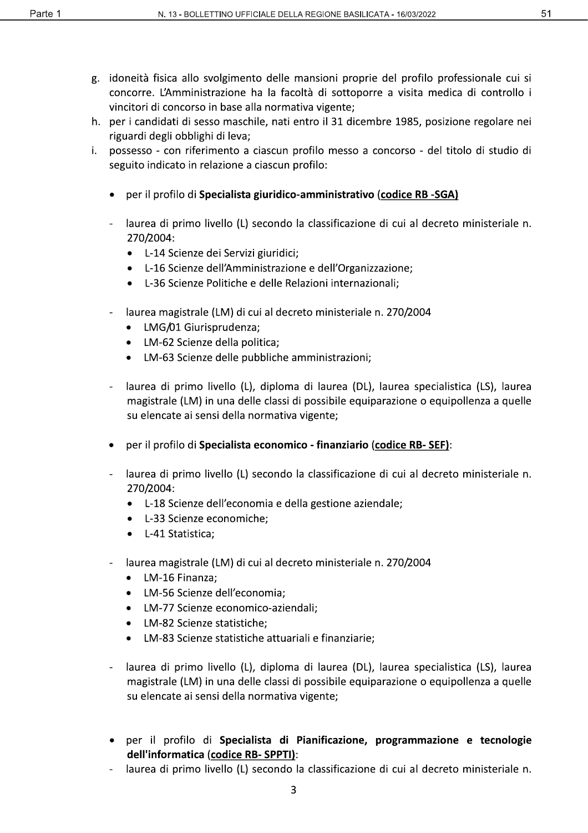- g. idoneità fisica allo svolgimento delle mansioni proprie del profilo professionale cui si concorre. L'Amministrazione ha la facoltà di sottoporre a visita medica di controllo i vincitori di concorso in base alla normativa vigente;
- h. per i candidati di sesso maschile, nati entro il 31 dicembre 1985, posizione regolare nei riguardi degli obblighi di leva:
- i. possesso con riferimento a ciascun profilo messo a concorso del titolo di studio di seguito indicato in relazione a ciascun profilo:
	- per il profilo di Specialista giuridico-amministrativo (codice RB -SGA)
	- laurea di primo livello (L) secondo la classificazione di cui al decreto ministeriale n. 270/2004:
		- L-14 Scienze dei Servizi giuridici;
		- L-16 Scienze dell'Amministrazione e dell'Organizzazione;
		- L-36 Scienze Politiche e delle Relazioni internazionali;
	- laurea magistrale (LM) di cui al decreto ministeriale n. 270/2004
		- LMG/01 Giurisprudenza;
		- LM-62 Scienze della politica:
		- LM-63 Scienze delle pubbliche amministrazioni;
	- laurea di primo livello (L), diploma di laurea (DL), laurea specialistica (LS), laurea magistrale (LM) in una delle classi di possibile equiparazione o equipollenza a quelle su elencate ai sensi della normativa vigente;
	- per il profilo di Specialista economico finanziario (codice RB-SEF):
	- laurea di primo livello (L) secondo la classificazione di cui al decreto ministeriale n. 270/2004:
		- L-18 Scienze dell'economia e della gestione aziendale;
		- L-33 Scienze economiche;
		- L-41 Statistica;
	- laurea magistrale (LM) di cui al decreto ministeriale n. 270/2004
		- LM-16 Finanza;
		- LM-56 Scienze dell'economia;
		- LM-77 Scienze economico-aziendali;
		- LM-82 Scienze statistiche;
		- LM-83 Scienze statistiche attuariali e finanziarie;
	- laurea di primo livello (L), diploma di laurea (DL), laurea specialistica (LS), laurea magistrale (LM) in una delle classi di possibile equiparazione o equipollenza a quelle su elencate ai sensi della normativa vigente;
	- per il profilo di Specialista di Pianificazione, programmazione e tecnologie dell'informatica (codice RB-SPPTI):
	- laurea di primo livello (L) secondo la classificazione di cui al decreto ministeriale n.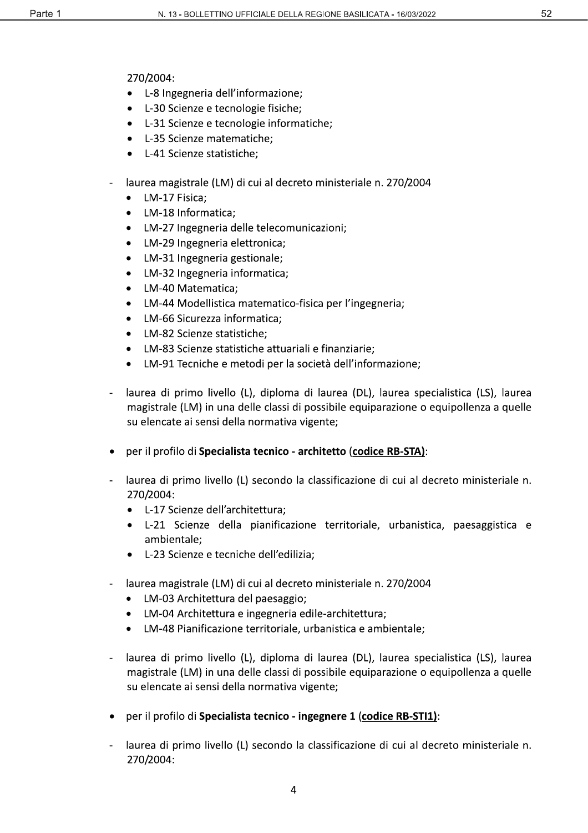270/2004:

- L-8 Ingegneria dell'informazione;
- L-30 Scienze e tecnologie fisiche;
- L-31 Scienze e tecnologie informatiche;
- L-35 Scienze matematiche;
- L-41 Scienze statistiche;
- laurea magistrale (LM) di cui al decreto ministeriale n. 270/2004
	- LM-17 Fisica;
	- LM-18 Informatica;
	- LM-27 Ingegneria delle telecomunicazioni;
	- LM-29 Ingegneria elettronica;
	- LM-31 Ingegneria gestionale;
	- LM-32 Ingegneria informatica;
	- LM-40 Matematica;
	- LM-44 Modellistica matematico-fisica per l'ingegneria;
	- LM-66 Sicurezza informatica;
	- LM-82 Scienze statistiche;
	- LM-83 Scienze statistiche attuariali e finanziarie;
	- LM-91 Tecniche e metodi per la società dell'informazione:
- laurea di primo livello (L), diploma di laurea (DL), laurea specialistica (LS), laurea magistrale (LM) in una delle classi di possibile equiparazione o equipollenza a quelle su elencate ai sensi della normativa vigente;
- per il profilo di Specialista tecnico architetto (codice RB-STA):
- laurea di primo livello (L) secondo la classificazione di cui al decreto ministeriale n. 270/2004:
	- L-17 Scienze dell'architettura;
	- L-21 Scienze della pianificazione territoriale, urbanistica, paesaggistica e ambientale;
	- L-23 Scienze e tecniche dell'edilizia;
- laurea magistrale (LM) di cui al decreto ministeriale n. 270/2004
	- LM-03 Architettura del paesaggio;
	- LM-04 Architettura e ingegneria edile-architettura;
	- LM-48 Pianificazione territoriale, urbanistica e ambientale;
- laurea di primo livello (L), diploma di laurea (DL), laurea specialistica (LS), laurea magistrale (LM) in una delle classi di possibile equiparazione o equipollenza a quelle su elencate ai sensi della normativa vigente;
- per il profilo di Specialista tecnico ingegnere 1 (codice RB-STI1):
- laurea di primo livello (L) secondo la classificazione di cui al decreto ministeriale n. 270/2004: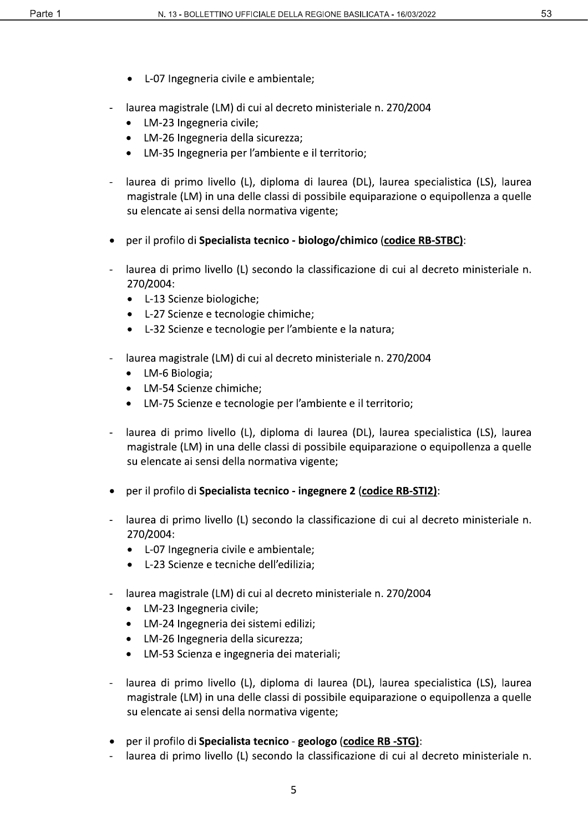- L-07 Ingegneria civile e ambientale;
- laurea magistrale (LM) di cui al decreto ministeriale n. 270/2004
	- LM-23 Ingegneria civile;
	- LM-26 Ingegneria della sicurezza;
	- LM-35 Ingegneria per l'ambiente e il territorio;
- laurea di primo livello (L), diploma di laurea (DL), laurea specialistica (LS), laurea magistrale (LM) in una delle classi di possibile equiparazione o equipollenza a quelle su elencate ai sensi della normativa vigente;
- per il profilo di Specialista tecnico biologo/chimico (codice RB-STBC):
- laurea di primo livello (L) secondo la classificazione di cui al decreto ministeriale n. 270/2004:
	- L-13 Scienze biologiche;
	- L-27 Scienze e tecnologie chimiche;
	- L-32 Scienze e tecnologie per l'ambiente e la natura;
- laurea magistrale (LM) di cui al decreto ministeriale n. 270/2004
	- LM-6 Biologia;
	- LM-54 Scienze chimiche;
	- LM-75 Scienze e tecnologie per l'ambiente e il territorio;
- laurea di primo livello (L), diploma di laurea (DL), laurea specialistica (LS), laurea magistrale (LM) in una delle classi di possibile equiparazione o equipollenza a quelle su elencate ai sensi della normativa vigente;
- per il profilo di Specialista tecnico ingegnere 2 (codice RB-STI2):
- laurea di primo livello (L) secondo la classificazione di cui al decreto ministeriale n. 270/2004:
	- L-07 Ingegneria civile e ambientale;
	- L-23 Scienze e tecniche dell'edilizia;
- laurea magistrale (LM) di cui al decreto ministeriale n. 270/2004
	- LM-23 Ingegneria civile;
	- LM-24 Ingegneria dei sistemi edilizi;
	- LM-26 Ingegneria della sicurezza;
	- LM-53 Scienza e ingegneria dei materiali;
- laurea di primo livello (L), diploma di laurea (DL), laurea specialistica (LS), laurea magistrale (LM) in una delle classi di possibile equiparazione o equipollenza a quelle su elencate ai sensi della normativa vigente;
- per il profilo di Specialista tecnico geologo (codice RB -STG):
- laurea di primo livello (L) secondo la classificazione di cui al decreto ministeriale n.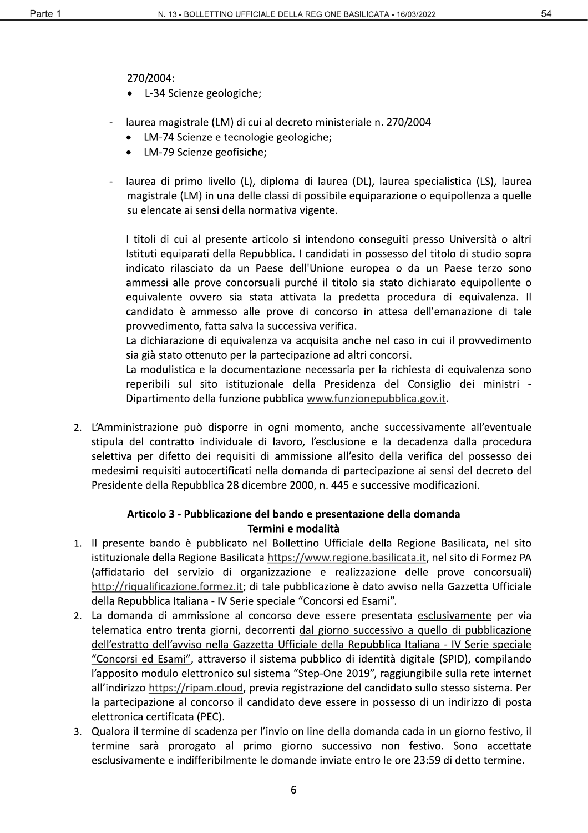270/2004:

- L-34 Scienze geologiche;
- laurea magistrale (LM) di cui al decreto ministeriale n. 270/2004
	- LM-74 Scienze e tecnologie geologiche;
	- LM-79 Scienze geofisiche;
- laurea di primo livello (L), diploma di laurea (DL), laurea specialistica (LS), laurea magistrale (LM) in una delle classi di possibile equiparazione o equipollenza a quelle su elencate ai sensi della normativa vigente.

I titoli di cui al presente articolo si intendono conseguiti presso Università o altri Istituti equiparati della Repubblica. I candidati in possesso del titolo di studio sopra indicato rilasciato da un Paese dell'Unione europea o da un Paese terzo sono ammessi alle prove concorsuali purché il titolo sia stato dichiarato equipollente o equivalente ovvero sia stata attivata la predetta procedura di equivalenza. Il candidato è ammesso alle prove di concorso in attesa dell'emanazione di tale provvedimento, fatta salva la successiva verifica.

La dichiarazione di equivalenza va acquisita anche nel caso in cui il provvedimento sia già stato ottenuto per la partecipazione ad altri concorsi.

La modulistica e la documentazione necessaria per la richiesta di equivalenza sono reperibili sul sito istituzionale della Presidenza del Consiglio dei ministri -Dipartimento della funzione pubblica www.funzionepubblica.gov.it.

2. L'Amministrazione può disporre in ogni momento, anche successivamente all'eventuale stipula del contratto individuale di lavoro, l'esclusione e la decadenza dalla procedura selettiva per difetto dei requisiti di ammissione all'esito della verifica del possesso dei medesimi requisiti autocertificati nella domanda di partecipazione ai sensi del decreto del Presidente della Repubblica 28 dicembre 2000, n. 445 e successive modificazioni.

# Articolo 3 - Pubblicazione del bando e presentazione della domanda Termini e modalità

- 1. Il presente bando è pubblicato nel Bollettino Ufficiale della Regione Basilicata, nel sito istituzionale della Regione Basilicata https://www.regione.basilicata.it, nel sito di Formez PA (affidatario del servizio di organizzazione e realizzazione delle prove concorsuali) http://riqualificazione.formez.it; di tale pubblicazione è dato avviso nella Gazzetta Ufficiale della Repubblica Italiana - IV Serie speciale "Concorsi ed Esami".
- 2. La domanda di ammissione al concorso deve essere presentata esclusivamente per via telematica entro trenta giorni, decorrenti dal giorno successivo a quello di pubblicazione dell'estratto dell'avviso nella Gazzetta Ufficiale della Repubblica Italiana - IV Serie speciale "Concorsi ed Esami", attraverso il sistema pubblico di identità digitale (SPID), compilando l'apposito modulo elettronico sul sistema "Step-One 2019", raggiungibile sulla rete internet all'indirizzo https://ripam.cloud, previa registrazione del candidato sullo stesso sistema. Per la partecipazione al concorso il candidato deve essere in possesso di un indirizzo di posta elettronica certificata (PEC).
- 3. Qualora il termine di scadenza per l'invio on line della domanda cada in un giorno festivo, il termine sarà prorogato al primo giorno successivo non festivo. Sono accettate esclusivamente e indifferibilmente le domande inviate entro le ore 23:59 di detto termine.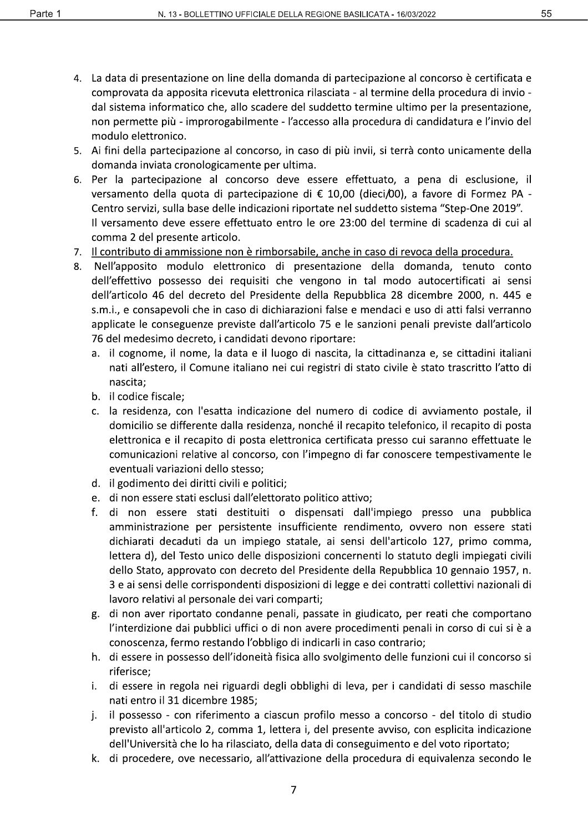- 4. La data di presentazione on line della domanda di partecipazione al concorso è certificata e comprovata da apposita ricevuta elettronica rilasciata - al termine della procedura di invio dal sistema informatico che, allo scadere del suddetto termine ultimo per la presentazione, non permette più - improrogabilmente - l'accesso alla procedura di candidatura e l'invio del modulo elettronico.
- 5. Ai fini della partecipazione al concorso, in caso di più invii, si terrà conto unicamente della domanda inviata cronologicamente per ultima.
- 6. Per la partecipazione al concorso deve essere effettuato, a pena di esclusione, il versamento della quota di partecipazione di € 10,00 (dieci/00), a favore di Formez PA -Centro servizi, sulla base delle indicazioni riportate nel suddetto sistema "Step-One 2019". Il versamento deve essere effettuato entro le ore 23:00 del termine di scadenza di cui al comma 2 del presente articolo.
- 7. Il contributo di ammissione non è rimborsabile, anche in caso di revoca della procedura.
- Nell'apposito modulo elettronico di presentazione della domanda, tenuto conto 8. dell'effettivo possesso dei requisiti che vengono in tal modo autocertificati ai sensi dell'articolo 46 del decreto del Presidente della Repubblica 28 dicembre 2000, n. 445 e s.m.i., e consapevoli che in caso di dichiarazioni false e mendaci e uso di atti falsi verranno applicate le conseguenze previste dall'articolo 75 e le sanzioni penali previste dall'articolo 76 del medesimo decreto, i candidati devono riportare:
	- a. il cognome, il nome, la data e il luogo di nascita, la cittadinanza e, se cittadini italiani nati all'estero, il Comune italiano nei cui registri di stato civile è stato trascritto l'atto di nascita;
	- b. il codice fiscale:
	- c. la residenza, con l'esatta indicazione del numero di codice di avviamento postale, il domicilio se differente dalla residenza, nonché il recapito telefonico, il recapito di posta elettronica e il recapito di posta elettronica certificata presso cui saranno effettuate le comunicazioni relative al concorso, con l'impegno di far conoscere tempestivamente le eventuali variazioni dello stesso;
	- d. il godimento dei diritti civili e politici;
	- e. di non essere stati esclusi dall'elettorato politico attivo;
	- f. di non essere stati destituiti o dispensati dall'impiego presso una pubblica amministrazione per persistente insufficiente rendimento, ovvero non essere stati dichiarati decaduti da un impiego statale, ai sensi dell'articolo 127, primo comma, lettera d), del Testo unico delle disposizioni concernenti lo statuto degli impiegati civili dello Stato, approvato con decreto del Presidente della Repubblica 10 gennaio 1957, n. 3 e ai sensi delle corrispondenti disposizioni di legge e dei contratti collettivi nazionali di lavoro relativi al personale dei vari comparti;
	- g. di non aver riportato condanne penali, passate in giudicato, per reati che comportano l'interdizione dai pubblici uffici o di non avere procedimenti penali in corso di cui si è a conoscenza, fermo restando l'obbligo di indicarli in caso contrario;
	- h. di essere in possesso dell'idoneità fisica allo svolgimento delle funzioni cui il concorso si riferisce:
	- i. di essere in regola nei riguardi degli obblighi di leva, per i candidati di sesso maschile nati entro il 31 dicembre 1985;
	- j. il possesso - con riferimento a ciascun profilo messo a concorso - del titolo di studio previsto all'articolo 2, comma 1, lettera i, del presente avviso, con esplicita indicazione dell'Università che lo ha rilasciato, della data di conseguimento e del voto riportato;
	- k. di procedere, ove necessario, all'attivazione della procedura di equivalenza secondo le

 $\overline{7}$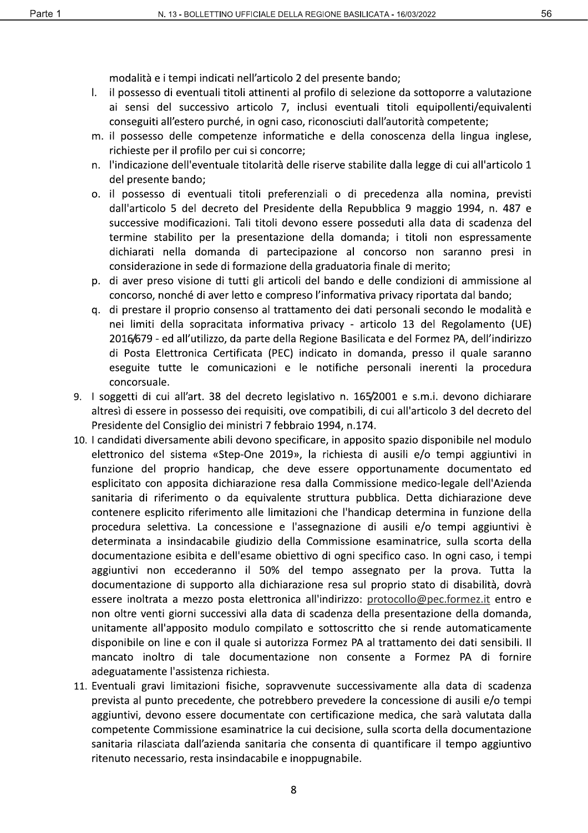56

modalità e i tempi indicati nell'articolo 2 del presente bando;

- $\mathbf{L}$ il possesso di eventuali titoli attinenti al profilo di selezione da sottoporre a valutazione ai sensi del successivo articolo 7, inclusi eventuali titoli equipollenti/equivalenti conseguiti all'estero purché, in ogni caso, riconosciuti dall'autorità competente;
- m. il possesso delle competenze informatiche e della conoscenza della lingua inglese, richieste per il profilo per cui si concorre;
- n. l'indicazione dell'eventuale titolarità delle riserve stabilite dalla legge di cui all'articolo 1 del presente bando;
- o. il possesso di eventuali titoli preferenziali o di precedenza alla nomina, previsti dall'articolo 5 del decreto del Presidente della Repubblica 9 maggio 1994, n. 487 e successive modificazioni. Tali titoli devono essere posseduti alla data di scadenza del termine stabilito per la presentazione della domanda; i titoli non espressamente dichiarati nella domanda di partecipazione al concorso non saranno presi in considerazione in sede di formazione della graduatoria finale di merito;
- p. di aver preso visione di tutti gli articoli del bando e delle condizioni di ammissione al concorso, nonché di aver letto e compreso l'informativa privacy riportata dal bando;
- g. di prestare il proprio consenso al trattamento dei dati personali secondo le modalità e nei limiti della sopracitata informativa privacy - articolo 13 del Regolamento (UE) 2016/679 - ed all'utilizzo, da parte della Regione Basilicata e del Formez PA, dell'indirizzo di Posta Elettronica Certificata (PEC) indicato in domanda, presso il quale saranno eseguite tutte le comunicazioni e le notifiche personali inerenti la procedura concorsuale.
- 9. I soggetti di cui all'art. 38 del decreto legislativo n. 165/2001 e s.m.i. devono dichiarare altresì di essere in possesso dei requisiti, ove compatibili, di cui all'articolo 3 del decreto del Presidente del Consiglio dei ministri 7 febbraio 1994, n.174.
- 10. I candidati diversamente abili devono specificare, in apposito spazio disponibile nel modulo elettronico del sistema «Step-One 2019», la richiesta di ausili e/o tempi aggiuntivi in funzione del proprio handicap, che deve essere opportunamente documentato ed esplicitato con apposita dichiarazione resa dalla Commissione medico-legale dell'Azienda sanitaria di riferimento o da equivalente struttura pubblica. Detta dichiarazione deve contenere esplicito riferimento alle limitazioni che l'handicap determina in funzione della procedura selettiva. La concessione e l'assegnazione di ausili e/o tempi aggiuntivi è determinata a insindacabile giudizio della Commissione esaminatrice, sulla scorta della documentazione esibita e dell'esame obiettivo di ogni specifico caso. In ogni caso, i tempi aggiuntivi non eccederanno il 50% del tempo assegnato per la prova. Tutta la documentazione di supporto alla dichiarazione resa sul proprio stato di disabilità, dovrà essere inoltrata a mezzo posta elettronica all'indirizzo: protocollo@pec.formez.it entro e non oltre venti giorni successivi alla data di scadenza della presentazione della domanda, unitamente all'apposito modulo compilato e sottoscritto che si rende automaticamente disponibile on line e con il quale si autorizza Formez PA al trattamento dei dati sensibili. Il mancato inoltro di tale documentazione non consente a Formez PA di fornire adeguatamente l'assistenza richiesta.
- 11. Eventuali gravi limitazioni fisiche, sopravvenute successivamente alla data di scadenza prevista al punto precedente, che potrebbero prevedere la concessione di ausili e/o tempi aggiuntivi, devono essere documentate con certificazione medica, che sarà valutata dalla competente Commissione esaminatrice la cui decisione, sulla scorta della documentazione sanitaria rilasciata dall'azienda sanitaria che consenta di quantificare il tempo aggiuntivo ritenuto necessario, resta insindacabile e inoppugnabile.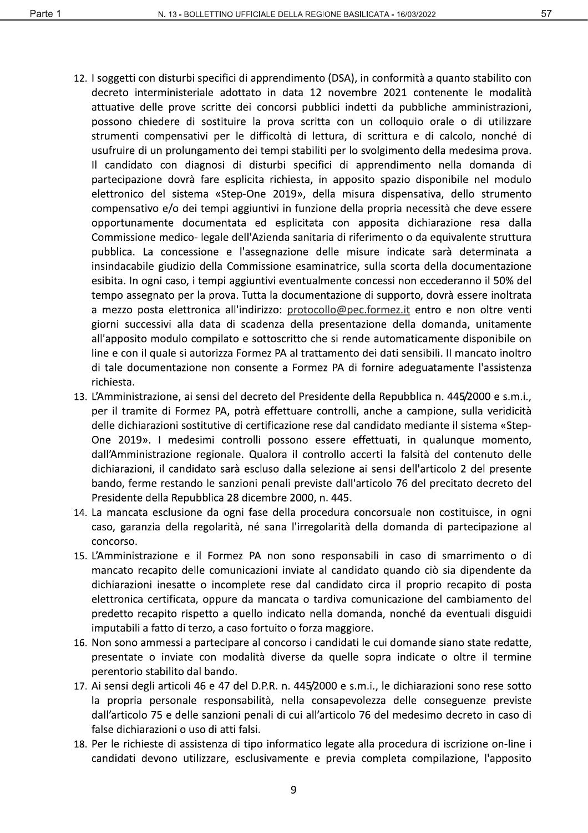- 12. I soggetti con disturbi specifici di apprendimento (DSA), in conformità a quanto stabilito con decreto interministeriale adottato in data 12 novembre 2021 contenente le modalità attuative delle prove scritte dei concorsi pubblici indetti da pubbliche amministrazioni, possono chiedere di sostituire la prova scritta con un colloquio orale o di utilizzare strumenti compensativi per le difficoltà di lettura, di scrittura e di calcolo, nonché di usufruire di un prolungamento dei tempi stabiliti per lo svolgimento della medesima prova. Il candidato con diagnosi di disturbi specifici di apprendimento nella domanda di partecipazione dovrà fare esplicita richiesta, in apposito spazio disponibile nel modulo elettronico del sistema «Step-One 2019», della misura dispensativa, dello strumento compensativo e/o dei tempi aggiuntivi in funzione della propria necessità che deve essere opportunamente documentata ed esplicitata con apposita dichiarazione resa dalla Commissione medico- legale dell'Azienda sanitaria di riferimento o da equivalente struttura pubblica. La concessione e l'assegnazione delle misure indicate sarà determinata a insindacabile giudizio della Commissione esaminatrice, sulla scorta della documentazione esibita. In ogni caso, i tempi aggiuntivi eventualmente concessi non eccederanno il 50% del tempo assegnato per la prova. Tutta la documentazione di supporto, dovrà essere inoltrata a mezzo posta elettronica all'indirizzo: protocollo@pec.formez.it entro e non oltre venti giorni successivi alla data di scadenza della presentazione della domanda, unitamente all'apposito modulo compilato e sottoscritto che si rende automaticamente disponibile on line e con il quale si autorizza Formez PA al trattamento dei dati sensibili. Il mancato inoltro di tale documentazione non consente a Formez PA di fornire adeguatamente l'assistenza richiesta.
- 13. L'Amministrazione, ai sensi del decreto del Presidente della Repubblica n. 445/2000 e s.m.i., per il tramite di Formez PA, potrà effettuare controlli, anche a campione, sulla veridicità delle dichiarazioni sostitutive di certificazione rese dal candidato mediante il sistema «Step-One 2019». I medesimi controlli possono essere effettuati, in qualunque momento, dall'Amministrazione regionale. Qualora il controllo accerti la falsità del contenuto delle dichiarazioni, il candidato sarà escluso dalla selezione ai sensi dell'articolo 2 del presente bando, ferme restando le sanzioni penali previste dall'articolo 76 del precitato decreto del Presidente della Repubblica 28 dicembre 2000, n. 445.
- 14. La mancata esclusione da ogni fase della procedura concorsuale non costituisce, in ogni caso, garanzia della regolarità, né sana l'irregolarità della domanda di partecipazione al concorso.
- 15. L'Amministrazione e il Formez PA non sono responsabili in caso di smarrimento o di mancato recapito delle comunicazioni inviate al candidato quando ciò sia dipendente da dichiarazioni inesatte o incomplete rese dal candidato circa il proprio recapito di posta elettronica certificata, oppure da mancata o tardiva comunicazione del cambiamento del predetto recapito rispetto a quello indicato nella domanda, nonché da eventuali disguidi imputabili a fatto di terzo, a caso fortuito o forza maggiore.
- 16. Non sono ammessi a partecipare al concorso i candidati le cui domande siano state redatte, presentate o inviate con modalità diverse da quelle sopra indicate o oltre il termine perentorio stabilito dal bando.
- 17. Ai sensi degli articoli 46 e 47 del D.P.R. n. 445/2000 e s.m.i., le dichiarazioni sono rese sotto la propria personale responsabilità, nella consapevolezza delle conseguenze previste dall'articolo 75 e delle sanzioni penali di cui all'articolo 76 del medesimo decreto in caso di false dichiarazioni o uso di atti falsi.
- 18. Per le richieste di assistenza di tipo informatico legate alla procedura di iscrizione on-line i candidati devono utilizzare, esclusivamente e previa completa compilazione, l'apposito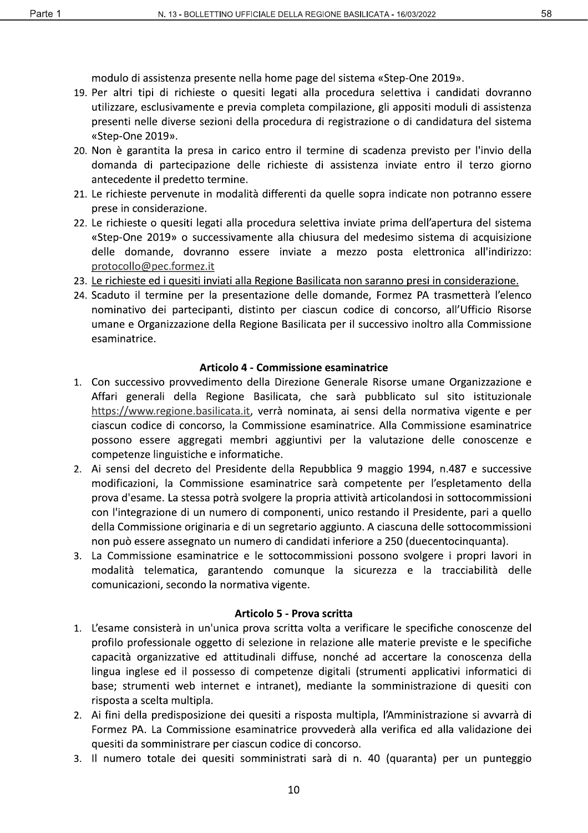modulo di assistenza presente nella home page del sistema «Step-One 2019».

- 19. Per altri tipi di richieste o quesiti legati alla procedura selettiva i candidati dovranno utilizzare, esclusivamente e previa completa compilazione, gli appositi moduli di assistenza presenti nelle diverse sezioni della procedura di registrazione o di candidatura del sistema «Step-One 2019».
- 20. Non è garantita la presa in carico entro il termine di scadenza previsto per l'invio della domanda di partecipazione delle richieste di assistenza inviate entro il terzo giorno antecedente il predetto termine.
- 21. Le richieste pervenute in modalità differenti da quelle sopra indicate non potranno essere prese in considerazione.
- 22. Le richieste o quesiti legati alla procedura selettiva inviate prima dell'apertura del sistema «Step-One 2019» o successivamente alla chiusura del medesimo sistema di acquisizione delle domande, dovranno essere inviate a mezzo posta elettronica all'indirizzo: protocollo@pec.formez.it
- 23. Le richieste ed i quesiti inviati alla Regione Basilicata non saranno presi in considerazione.
- 24. Scaduto il termine per la presentazione delle domande, Formez PA trasmetterà l'elenco nominativo dei partecipanti, distinto per ciascun codice di concorso, all'Ufficio Risorse umane e Organizzazione della Regione Basilicata per il successivo inoltro alla Commissione esaminatrice.

#### Articolo 4 - Commissione esaminatrice

- 1. Con successivo provvedimento della Direzione Generale Risorse umane Organizzazione e Affari generali della Regione Basilicata, che sarà pubblicato sul sito istituzionale https://www.regione.basilicata.it, verrà nominata, ai sensi della normativa vigente e per ciascun codice di concorso, la Commissione esaminatrice. Alla Commissione esaminatrice possono essere aggregati membri aggiuntivi per la valutazione delle conoscenze e competenze linguistiche e informatiche.
- 2. Ai sensi del decreto del Presidente della Repubblica 9 maggio 1994, n.487 e successive modificazioni, la Commissione esaminatrice sarà competente per l'espletamento della prova d'esame. La stessa potrà svolgere la propria attività articolandosi in sottocommissioni con l'integrazione di un numero di componenti, unico restando il Presidente, pari a quello della Commissione originaria e di un segretario aggiunto. A ciascuna delle sottocommissioni non può essere assegnato un numero di candidati inferiore a 250 (duecentocinguanta).
- 3. La Commissione esaminatrice e le sottocommissioni possono svolgere i propri lavori in modalità telematica, garantendo comunque la sicurezza e la tracciabilità delle comunicazioni, secondo la normativa vigente.

#### Articolo 5 - Prova scritta

- 1. L'esame consisterà in un'unica prova scritta volta a verificare le specifiche conoscenze del profilo professionale oggetto di selezione in relazione alle materie previste e le specifiche capacità organizzative ed attitudinali diffuse, nonché ad accertare la conoscenza della lingua inglese ed il possesso di competenze digitali (strumenti applicativi informatici di base; strumenti web internet e intranet), mediante la somministrazione di quesiti con risposta a scelta multipla.
- 2. Ai fini della predisposizione dei quesiti a risposta multipla, l'Amministrazione si avvarrà di Formez PA. La Commissione esaminatrice provvederà alla verifica ed alla validazione dei quesiti da somministrare per ciascun codice di concorso.
- 3. Il numero totale dei quesiti somministrati sarà di n. 40 (quaranta) per un punteggio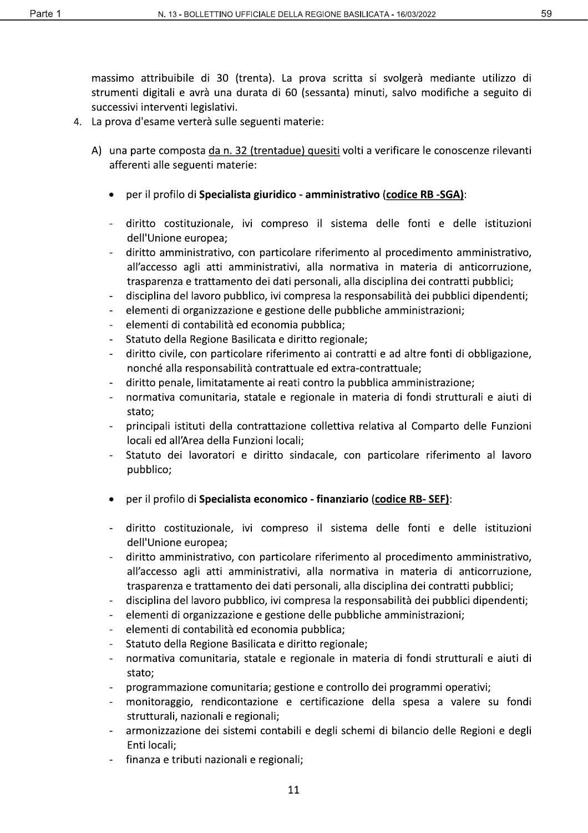massimo attribuibile di 30 (trenta). La prova scritta si svolgerà mediante utilizzo di strumenti digitali e avrà una durata di 60 (sessanta) minuti, salvo modifiche a seguito di successivi interventi legislativi.

- 4. La prova d'esame verterà sulle seguenti materie:
	- A) una parte composta da n. 32 (trentadue) quesiti volti a verificare le conoscenze rilevanti afferenti alle seguenti materie:
		- per il profilo di Specialista giuridico amministrativo (codice RB -SGA):
		- diritto costituzionale, ivi compreso il sistema delle fonti e delle istituzioni dell'Unione europea;
		- diritto amministrativo, con particolare riferimento al procedimento amministrativo, all'accesso agli atti amministrativi, alla normativa in materia di anticorruzione, trasparenza e trattamento dei dati personali, alla disciplina dei contratti pubblici;
		- $\blacksquare$ disciplina del lavoro pubblico, ivi compresa la responsabilità dei pubblici dipendenti;
		- elementi di organizzazione e gestione delle pubbliche amministrazioni:
		- elementi di contabilità ed economia pubblica;
		- Statuto della Regione Basilicata e diritto regionale;  $\blacksquare$
		- diritto civile, con particolare riferimento ai contratti e ad altre fonti di obbligazione, nonché alla responsabilità contrattuale ed extra-contrattuale;
		- diritto penale, limitatamente ai reati contro la pubblica amministrazione;
		- normativa comunitaria, statale e regionale in materia di fondi strutturali e aiuti di stato:
		- principali istituti della contrattazione collettiva relativa al Comparto delle Funzioni locali ed all'Area della Funzioni locali:
		- Statuto dei lavoratori e diritto sindacale, con particolare riferimento al lavoro pubblico;
		- per il profilo di Specialista economico finanziario (codice RB-SEF):
		- diritto costituzionale, ivi compreso il sistema delle fonti e delle istituzioni dell'Unione europea;
		- diritto amministrativo, con particolare riferimento al procedimento amministrativo, all'accesso agli atti amministrativi, alla normativa in materia di anticorruzione, trasparenza e trattamento dei dati personali, alla disciplina dei contratti pubblici;
		- disciplina del lavoro pubblico, ivi compresa la responsabilità dei pubblici dipendenti;  $\blacksquare$
		- elementi di organizzazione e gestione delle pubbliche amministrazioni;
		- elementi di contabilità ed economia pubblica;  $\blacksquare$
		- Statuto della Regione Basilicata e diritto regionale;
		- normativa comunitaria, statale e regionale in materia di fondi strutturali e aiuti di  $\mathbf{r}$ stato;
		- programmazione comunitaria; gestione e controllo dei programmi operativi;
		- monitoraggio, rendicontazione e certificazione della spesa a valere su fondi strutturali, nazionali e regionali;
		- armonizzazione dei sistemi contabili e degli schemi di bilancio delle Regioni e degli Enti locali:
		- finanza e tributi nazionali e regionali;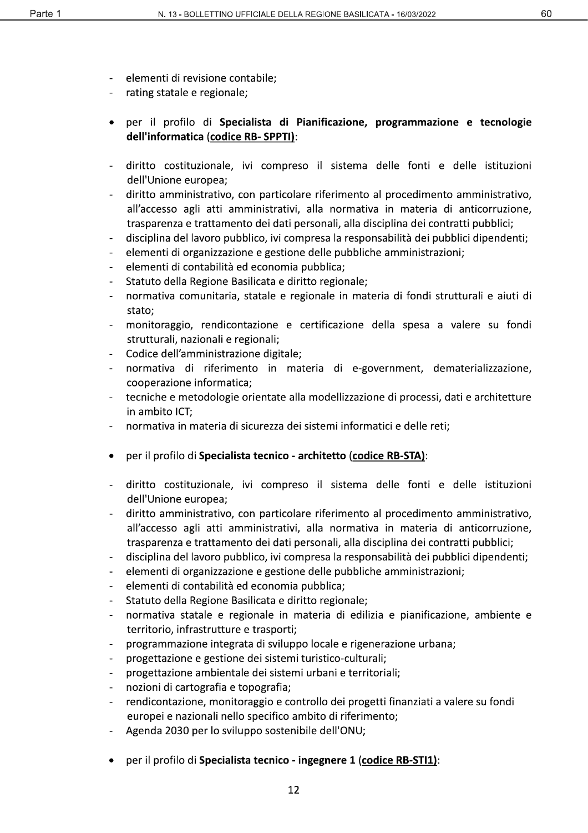60

- elementi di revisione contabile;
- rating statale e regionale;
- per il profilo di Specialista di Pianificazione, programmazione e tecnologie dell'informatica (codice RB-SPPTI):
- diritto costituzionale, ivi compreso il sistema delle fonti e delle istituzioni dell'Unione europea:
- diritto amministrativo, con particolare riferimento al procedimento amministrativo, all'accesso agli atti amministrativi, alla normativa in materia di anticorruzione, trasparenza e trattamento dei dati personali, alla disciplina dei contratti pubblici;
- disciplina del lavoro pubblico, ivi compresa la responsabilità dei pubblici dipendenti;
- elementi di organizzazione e gestione delle pubbliche amministrazioni;
- elementi di contabilità ed economia pubblica;
- Statuto della Regione Basilicata e diritto regionale;
- normativa comunitaria, statale e regionale in materia di fondi strutturali e aiuti di stato:
- monitoraggio, rendicontazione e certificazione della spesa a valere su fondi strutturali, nazionali e regionali;
- Codice dell'amministrazione digitale;
- normativa di riferimento in materia di e-government, dematerializzazione, cooperazione informatica;
- tecniche e metodologie orientate alla modellizzazione di processi, dati e architetture in ambito ICT:
- normativa in materia di sicurezza dei sistemi informatici e delle reti;
- per il profilo di Specialista tecnico architetto (codice RB-STA):
- diritto costituzionale, ivi compreso il sistema delle fonti e delle istituzioni dell'Unione europea;
- diritto amministrativo, con particolare riferimento al procedimento amministrativo, all'accesso agli atti amministrativi, alla normativa in materia di anticorruzione, trasparenza e trattamento dei dati personali, alla disciplina dei contratti pubblici;
- disciplina del lavoro pubblico, ivi compresa la responsabilità dei pubblici dipendenti;  $\mathbb{L}^{\mathbb{N}}$
- elementi di organizzazione e gestione delle pubbliche amministrazioni;  $\overline{a}$
- elementi di contabilità ed economia pubblica;
- Statuto della Regione Basilicata e diritto regionale;
- normativa statale e regionale in materia di edilizia e pianificazione, ambiente e territorio, infrastrutture e trasporti;
- programmazione integrata di sviluppo locale e rigenerazione urbana;
- progettazione e gestione dei sistemi turistico-culturali;
- progettazione ambientale dei sistemi urbani e territoriali;
- nozioni di cartografia e topografia;
- rendicontazione, monitoraggio e controllo dei progetti finanziati a valere su fondi europei e nazionali nello specifico ambito di riferimento;
- Agenda 2030 per lo sviluppo sostenibile dell'ONU;
- · per il profilo di Specialista tecnico ingegnere 1 (codice RB-STI1):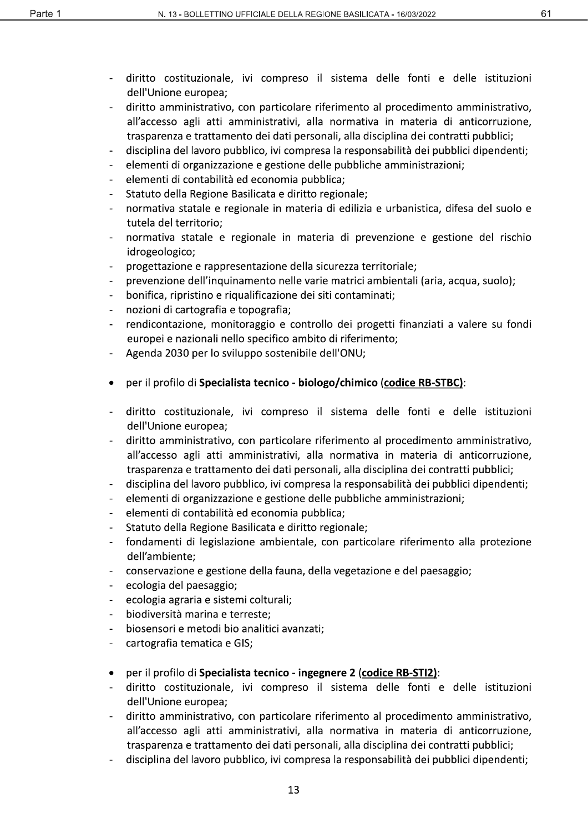- diritto costituzionale, ivi compreso il sistema delle fonti e delle istituzioni dell'Unione europea;
- diritto amministrativo, con particolare riferimento al procedimento amministrativo, all'accesso agli atti amministrativi, alla normativa in materia di anticorruzione, trasparenza e trattamento dei dati personali, alla disciplina dei contratti pubblici;
- disciplina del lavoro pubblico, ivi compresa la responsabilità dei pubblici dipendenti;
- elementi di organizzazione e gestione delle pubbliche amministrazioni;
- elementi di contabilità ed economia pubblica;  $\overline{\phantom{a}}$
- Statuto della Regione Basilicata e diritto regionale;
- normativa statale e regionale in materia di edilizia e urbanistica, difesa del suolo e tutela del territorio:
- normativa statale e regionale in materia di prevenzione e gestione del rischio idrogeologico;
- progettazione e rappresentazione della sicurezza territoriale;
- prevenzione dell'inquinamento nelle varie matrici ambientali (aria, acqua, suolo);
- bonifica, ripristino e riqualificazione dei siti contaminati;
- nozioni di cartografia e topografia;
- rendicontazione, monitoraggio e controllo dei progetti finanziati a valere su fondi europei e nazionali nello specifico ambito di riferimento;
- Agenda 2030 per lo sviluppo sostenibile dell'ONU;
- per il profilo di Specialista tecnico biologo/chimico (codice RB-STBC):
- diritto costituzionale, ivi compreso il sistema delle fonti e delle istituzioni dell'Unione europea;
- diritto amministrativo, con particolare riferimento al procedimento amministrativo, all'accesso agli atti amministrativi, alla normativa in materia di anticorruzione, trasparenza e trattamento dei dati personali, alla disciplina dei contratti pubblici;
- disciplina del lavoro pubblico, ivi compresa la responsabilità dei pubblici dipendenti;  $\overline{a}$
- elementi di organizzazione e gestione delle pubbliche amministrazioni;
- elementi di contabilità ed economia pubblica;  $\overline{a}$
- Statuto della Regione Basilicata e diritto regionale;
- fondamenti di legislazione ambientale, con particolare riferimento alla protezione dell'ambiente;
- conservazione e gestione della fauna, della vegetazione e del paesaggio;
- ecologia del paesaggio;  $\frac{1}{2}$
- ecologia agraria e sistemi colturali;
- biodiversità marina e terreste;  $\overline{a}$
- biosensori e metodi bio analitici avanzati;
- cartografia tematica e GIS;
- per il profilo di Specialista tecnico ingegnere 2 (codice RB-STI2):  $\bullet$
- diritto costituzionale, ivi compreso il sistema delle fonti e delle istituzioni dell'Unione europea;
- diritto amministrativo, con particolare riferimento al procedimento amministrativo, all'accesso agli atti amministrativi, alla normativa in materia di anticorruzione, trasparenza e trattamento dei dati personali, alla disciplina dei contratti pubblici;
- disciplina del lavoro pubblico, ivi compresa la responsabilità dei pubblici dipendenti;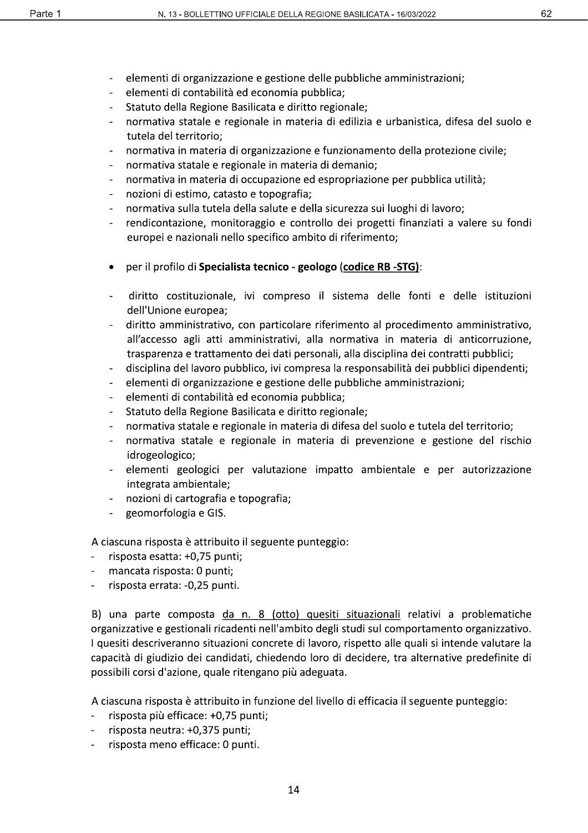- elementi di organizzazione e gestione delle pubbliche amministrazioni;  $\blacksquare$
- $\mathbf{r}$ elementi di contabilità ed economia pubblica;
- Statuto della Regione Basilicata e diritto regionale;  $\overline{a}$
- normativa statale e regionale in materia di edilizia e urbanistica, difesa del suolo e tutela del territorio:
- normativa in materia di organizzazione e funzionamento della protezione civile;
- normativa statale e regionale in materia di demanio;
- normativa in materia di occupazione ed espropriazione per pubblica utilità;  $\mathbb{L}$
- nozioni di estimo, catasto e topografia;
- normativa sulla tutela della salute e della sicurezza sui luoghi di lavoro;
- rendicontazione, monitoraggio e controllo dei progetti finanziati a valere su fondi europei e nazionali nello specifico ambito di riferimento;
- per il profilo di Specialista tecnico geologo (codice RB -STG):
- diritto costituzionale, ivi compreso il sistema delle fonti e delle istituzioni dell'Unione europea:
- diritto amministrativo, con particolare riferimento al procedimento amministrativo, all'accesso agli atti amministrativi, alla normativa in materia di anticorruzione, trasparenza e trattamento dei dati personali, alla disciplina dei contratti pubblici;
- disciplina del lavoro pubblico, ivi compresa la responsabilità dei pubblici dipendenti;  $\blacksquare$
- $\overline{a}$ elementi di organizzazione e gestione delle pubbliche amministrazioni;
- elementi di contabilità ed economia pubblica;
- Statuto della Regione Basilicata e diritto regionale;
- normativa statale e regionale in materia di difesa del suolo e tutela del territorio;
- normativa statale e regionale in materia di prevenzione e gestione del rischio  $\overline{\phantom{a}}$ idrogeologico;
- elementi geologici per valutazione impatto ambientale e per autorizzazione integrata ambientale;
- nozioni di cartografia e topografia;
- geomorfologia e GIS.

A ciascuna risposta è attribuito il seguente punteggio:

- risposta esatta: +0,75 punti;
- mancata risposta: 0 punti;
- risposta errata: -0,25 punti.

B) una parte composta da n. 8 (otto) quesiti situazionali relativi a problematiche organizzative e gestionali ricadenti nell'ambito degli studi sul comportamento organizzativo. I quesiti descriveranno situazioni concrete di lavoro, rispetto alle quali si intende valutare la capacità di giudizio dei candidati, chiedendo loro di decidere, tra alternative predefinite di possibili corsi d'azione, quale ritengano più adeguata.

A ciascuna risposta è attribuito in funzione del livello di efficacia il seguente punteggio:

- risposta più efficace: +0,75 punti;
- risposta neutra: +0,375 punti;
- risposta meno efficace: 0 punti.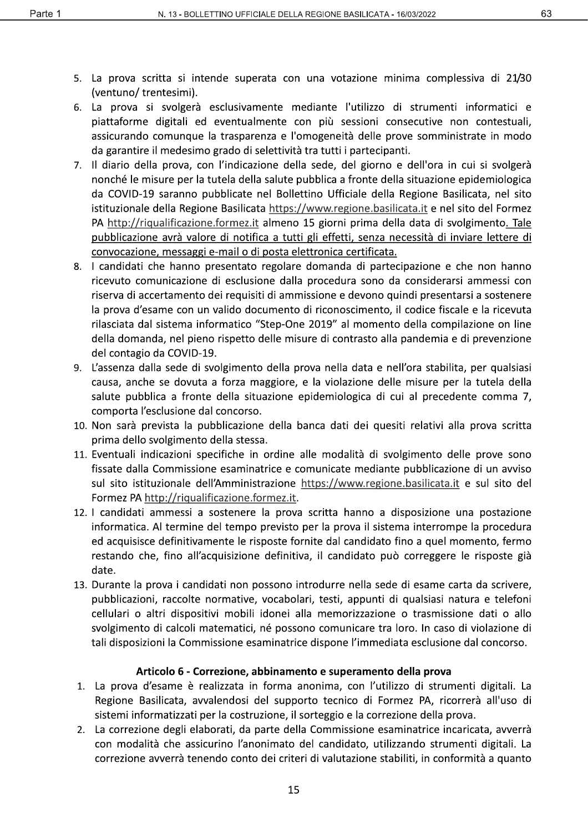- 5. La prova scritta si intende superata con una votazione minima complessiva di 21/30 (ventuno/trentesimi).
- 6. La prova si svolgerà esclusivamente mediante l'utilizzo di strumenti informatici e piattaforme digitali ed eventualmente con più sessioni consecutive non contestuali, assicurando comunque la trasparenza e l'omogeneità delle prove somministrate in modo da garantire il medesimo grado di selettività tra tutti i partecipanti.
- 7. Il diario della prova, con l'indicazione della sede, del giorno e dell'ora in cui si svolgerà nonché le misure per la tutela della salute pubblica a fronte della situazione epidemiologica da COVID-19 saranno pubblicate nel Bollettino Ufficiale della Regione Basilicata, nel sito istituzionale della Regione Basilicata https://www.regione.basilicata.it e nel sito del Formez PA http://riqualificazione.formez.it almeno 15 giorni prima della data di svolgimento. Tale pubblicazione avrà valore di notifica a tutti gli effetti, senza necessità di inviare lettere di convocazione, messaggi e-mail o di posta elettronica certificata.
- 8. I candidati che hanno presentato regolare domanda di partecipazione e che non hanno ricevuto comunicazione di esclusione dalla procedura sono da considerarsi ammessi con riserva di accertamento dei requisiti di ammissione e devono quindi presentarsi a sostenere la prova d'esame con un valido documento di riconoscimento, il codice fiscale e la ricevuta rilasciata dal sistema informatico "Step-One 2019" al momento della compilazione on line della domanda, nel pieno rispetto delle misure di contrasto alla pandemia e di prevenzione del contagio da COVID-19.
- 9. L'assenza dalla sede di svolgimento della prova nella data e nell'ora stabilita, per qualsiasi causa, anche se dovuta a forza maggiore, e la violazione delle misure per la tutela della salute pubblica a fronte della situazione epidemiologica di cui al precedente comma 7, comporta l'esclusione dal concorso.
- 10. Non sarà prevista la pubblicazione della banca dati dei quesiti relativi alla prova scritta prima dello svolgimento della stessa.
- 11. Eventuali indicazioni specifiche in ordine alle modalità di svolgimento delle prove sono fissate dalla Commissione esaminatrice e comunicate mediante pubblicazione di un avviso sul sito istituzionale dell'Amministrazione https://www.regione.basilicata.it e sul sito del Formez PA http://riqualificazione.formez.it.
- 12. I candidati ammessi a sostenere la prova scritta hanno a disposizione una postazione informatica. Al termine del tempo previsto per la prova il sistema interrompe la procedura ed acquisisce definitivamente le risposte fornite dal candidato fino a quel momento, fermo restando che, fino all'acquisizione definitiva, il candidato può correggere le risposte già date.
- 13. Durante la prova i candidati non possono introdurre nella sede di esame carta da scrivere, pubblicazioni, raccolte normative, vocabolari, testi, appunti di qualsiasi natura e telefoni cellulari o altri dispositivi mobili idonei alla memorizzazione o trasmissione dati o allo svolgimento di calcoli matematici, né possono comunicare tra loro. In caso di violazione di tali disposizioni la Commissione esaminatrice dispone l'immediata esclusione dal concorso.

# Articolo 6 - Correzione, abbinamento e superamento della prova

- 1. La prova d'esame è realizzata in forma anonima, con l'utilizzo di strumenti digitali. La Regione Basilicata, avvalendosi del supporto tecnico di Formez PA, ricorrerà all'uso di sistemi informatizzati per la costruzione, il sorteggio e la correzione della prova.
- 2. La correzione degli elaborati, da parte della Commissione esaminatrice incaricata, avverrà con modalità che assicurino l'anonimato del candidato, utilizzando strumenti digitali. La correzione avverrà tenendo conto dei criteri di valutazione stabiliti, in conformità a quanto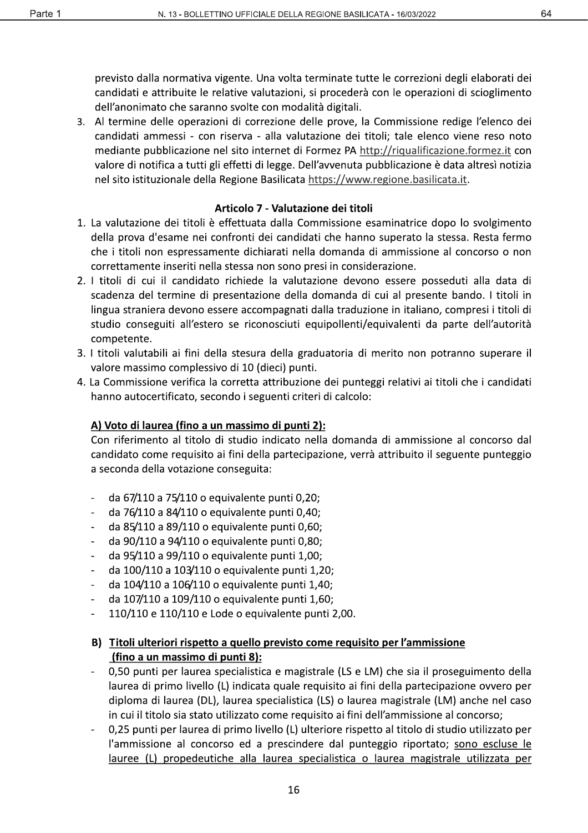previsto dalla normativa vigente. Una volta terminate tutte le correzioni degli elaborati dei candidati e attribuite le relative valutazioni, si procederà con le operazioni di scioglimento dell'anonimato che saranno svolte con modalità digitali.

3. Al termine delle operazioni di correzione delle prove, la Commissione redige l'elenco dei candidati ammessi - con riserva - alla valutazione dei titoli: tale elenco viene reso noto mediante pubblicazione nel sito internet di Formez PA http://riqualificazione.formez.it con valore di notifica a tutti gli effetti di legge. Dell'avvenuta pubblicazione è data altresì notizia nel sito istituzionale della Regione Basilicata https://www.regione.basilicata.it.

#### Articolo 7 - Valutazione dei titoli

- 1. La valutazione dei titoli è effettuata dalla Commissione esaminatrice dopo lo svolgimento della prova d'esame nei confronti dei candidati che hanno superato la stessa. Resta fermo che i titoli non espressamente dichiarati nella domanda di ammissione al concorso o non correttamente inseriti nella stessa non sono presi in considerazione.
- 2. I titoli di cui il candidato richiede la valutazione devono essere posseduti alla data di scadenza del termine di presentazione della domanda di cui al presente bando. I titoli in lingua straniera devono essere accompagnati dalla traduzione in italiano, compresi i titoli di studio conseguiti all'estero se riconosciuti equipollenti/equivalenti da parte dell'autorità competente.
- 3. I titoli valutabili ai fini della stesura della graduatoria di merito non potranno superare il valore massimo complessivo di 10 (dieci) punti.
- 4. La Commissione verifica la corretta attribuzione dei punteggi relativi ai titoli che i candidati hanno autocertificato, secondo i seguenti criteri di calcolo:

# A) Voto di laurea (fino a un massimo di punti 2):

Con riferimento al titolo di studio indicato nella domanda di ammissione al concorso dal candidato come requisito ai fini della partecipazione, verrà attribuito il seguente punteggio a seconda della votazione conseguita:

- da 67/110 a 75/110 o equivalente punti 0,20;
- da 76/110 a 84/110 o equivalente punti 0,40;  $\Box$
- da 85/110 a 89/110 o equivalente punti 0,60;
- da 90/110 a 94/110 o equivalente punti 0,80;
- da 95/110 a 99/110 o equivalente punti 1,00;
- da 100/110 a 103/110 o equivalente punti 1,20;
- da 104/110 a 106/110 o equivalente punti 1,40;  $\mathbf{r}$
- da 107/110 a 109/110 o equivalente punti 1,60;
- 110/110 e 110/110 e Lode o equivalente punti 2,00.  $\overline{a}$

# B) Titoli ulteriori rispetto a quello previsto come requisito per l'ammissione (fino a un massimo di punti 8):

- 0,50 punti per laurea specialistica e magistrale (LS e LM) che sia il proseguimento della laurea di primo livello (L) indicata quale requisito ai fini della partecipazione ovvero per diploma di laurea (DL), laurea specialistica (LS) o laurea magistrale (LM) anche nel caso in cui il titolo sia stato utilizzato come requisito ai fini dell'ammissione al concorso;
- 0,25 punti per laurea di primo livello (L) ulteriore rispetto al titolo di studio utilizzato per l'ammissione al concorso ed a prescindere dal punteggio riportato; sono escluse le lauree (L) propedeutiche alla laurea specialistica o laurea magistrale utilizzata per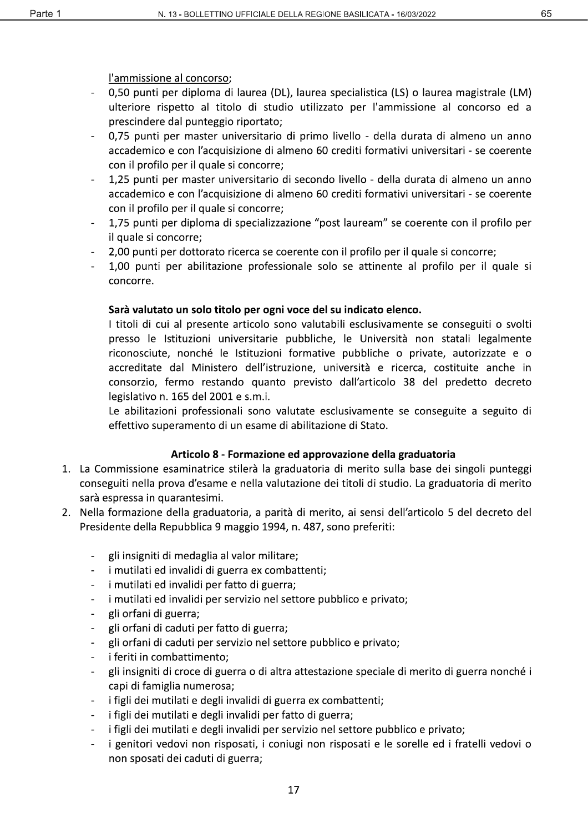#### l'ammissione al concorso;

- 0,50 punti per diploma di laurea (DL), laurea specialistica (LS) o laurea magistrale (LM) ulteriore rispetto al titolo di studio utilizzato per l'ammissione al concorso ed a prescindere dal punteggio riportato;
- 0.75 punti per master universitario di primo livello della durata di almeno un anno accademico e con l'acquisizione di almeno 60 crediti formativi universitari - se coerente con il profilo per il quale si concorre;
- 1,25 punti per master universitario di secondo livello della durata di almeno un anno accademico e con l'acquisizione di almeno 60 crediti formativi universitari - se coerente con il profilo per il quale si concorre;
- 1,75 punti per diploma di specializzazione "post lauream" se coerente con il profilo per il quale si concorre;
- 2,00 punti per dottorato ricerca se coerente con il profilo per il quale si concorre;
- 1,00 punti per abilitazione professionale solo se attinente al profilo per il quale si concorre.

#### Sarà valutato un solo titolo per ogni voce del su indicato elenco.

I titoli di cui al presente articolo sono valutabili esclusivamente se conseguiti o svolti presso le Istituzioni universitarie pubbliche, le Università non statali legalmente riconosciute, nonché le Istituzioni formative pubbliche o private, autorizzate e o accreditate dal Ministero dell'istruzione, università e ricerca, costituite anche in consorzio, fermo restando quanto previsto dall'articolo 38 del predetto decreto legislativo n. 165 del 2001 e s.m.i.

Le abilitazioni professionali sono valutate esclusivamente se conseguite a seguito di effettivo superamento di un esame di abilitazione di Stato.

#### Articolo 8 - Formazione ed approvazione della graduatoria

- 1. La Commissione esaminatrice stilerà la graduatoria di merito sulla base dei singoli punteggi conseguiti nella prova d'esame e nella valutazione dei titoli di studio. La graduatoria di merito sarà espressa in quarantesimi.
- 2. Nella formazione della graduatoria, a parità di merito, ai sensi dell'articolo 5 del decreto del Presidente della Repubblica 9 maggio 1994, n. 487, sono preferiti:
	- gli insigniti di medaglia al valor militare;
	- $\mathbb{R}^{\mathbb{Z}}$ i mutilati ed invalidi di guerra ex combattenti;
	- i mutilati ed invalidi per fatto di guerra;  $\omega_{\rm c}$
	- i mutilati ed invalidi per servizio nel settore pubblico e privato;
	- gli orfani di guerra;  $\overline{a}$
	- gli orfani di caduti per fatto di guerra;  $\blacksquare$
	- gli orfani di caduti per servizio nel settore pubblico e privato;
	- i feriti in combattimento;  $\blacksquare$
	- gli insigniti di croce di guerra o di altra attestazione speciale di merito di guerra nonché i  $\equiv$ capi di famiglia numerosa;
	- i figli dei mutilati e degli invalidi di guerra ex combattenti;
	- i figli dei mutilati e degli invalidi per fatto di guerra;
	- i figli dei mutilati e degli invalidi per servizio nel settore pubblico e privato;  $\Box$
	- i genitori vedovi non risposati, i coniugi non risposati e le sorelle ed i fratelli vedovi o non sposati dei caduti di guerra;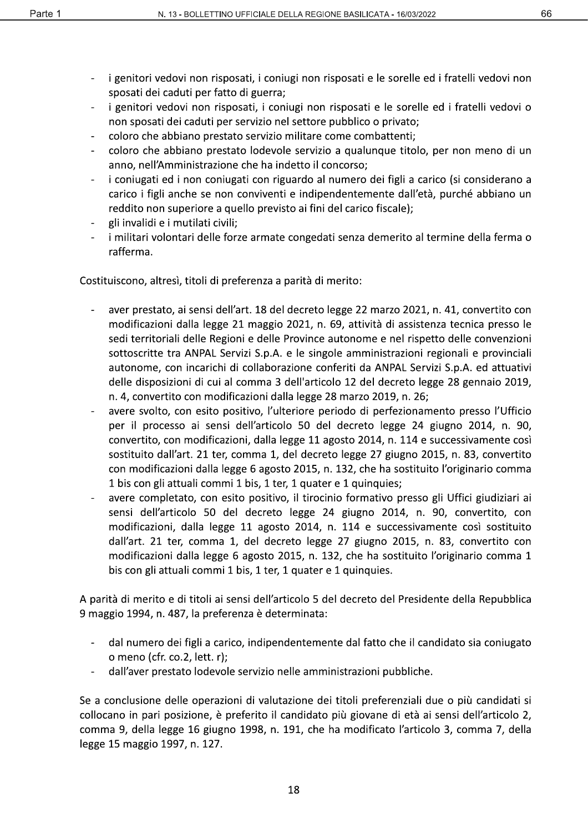- 66
- i genitori vedovi non risposati, i coniugi non risposati e le sorelle ed i fratelli vedovi non  $\blacksquare$ sposati dei caduti per fatto di guerra;
- i genitori vedovi non risposati, i coniugi non risposati e le sorelle ed i fratelli vedovi o  $\omega$  . non sposati dei caduti per servizio nel settore pubblico o privato;
- coloro che abbiano prestato servizio militare come combattenti;
- coloro che abbiano prestato lodevole servizio a qualunque titolo, per non meno di un anno, nell'Amministrazione che ha indetto il concorso;
- i coniugati ed i non coniugati con riguardo al numero dei figli a carico (si considerano a  $\overline{\phantom{a}}$ carico i figli anche se non conviventi e indipendentemente dall'età, purché abbiano un reddito non superiore a quello previsto ai fini del carico fiscale);
- gli invalidi e i mutilati civili;
- i militari volontari delle forze armate congedati senza demerito al termine della ferma o rafferma.

Costituiscono, altresì, titoli di preferenza a parità di merito:

- aver prestato, ai sensi dell'art. 18 del decreto legge 22 marzo 2021, n. 41, convertito con modificazioni dalla legge 21 maggio 2021, n. 69, attività di assistenza tecnica presso le sedi territoriali delle Regioni e delle Province autonome e nel rispetto delle convenzioni sottoscritte tra ANPAL Servizi S.p.A. e le singole amministrazioni regionali e provinciali autonome, con incarichi di collaborazione conferiti da ANPAL Servizi S.p.A. ed attuativi delle disposizioni di cui al comma 3 dell'articolo 12 del decreto legge 28 gennaio 2019, n. 4, convertito con modificazioni dalla legge 28 marzo 2019, n. 26;
- avere svolto, con esito positivo, l'ulteriore periodo di perfezionamento presso l'Ufficio per il processo ai sensi dell'articolo 50 del decreto legge 24 giugno 2014, n. 90, convertito, con modificazioni, dalla legge 11 agosto 2014, n. 114 e successivamente così sostituito dall'art. 21 ter, comma 1, del decreto legge 27 giugno 2015, n. 83, convertito con modificazioni dalla legge 6 agosto 2015, n. 132, che ha sostituito l'originario comma 1 bis con gli attuali commi 1 bis, 1 ter, 1 quater e 1 quinquies;
- avere completato, con esito positivo, il tirocinio formativo presso gli Uffici giudiziari ai sensi dell'articolo 50 del decreto legge 24 giugno 2014, n. 90, convertito, con modificazioni, dalla legge 11 agosto 2014, n. 114 e successivamente così sostituito dall'art. 21 ter, comma 1, del decreto legge 27 giugno 2015, n. 83, convertito con modificazioni dalla legge 6 agosto 2015, n. 132, che ha sostituito l'originario comma 1 bis con gli attuali commi 1 bis, 1 ter, 1 quater e 1 quinquies.

A parità di merito e di titoli ai sensi dell'articolo 5 del decreto del Presidente della Repubblica 9 maggio 1994, n. 487, la preferenza è determinata:

- dal numero dei figli a carico, indipendentemente dal fatto che il candidato sia coniugato o meno (cfr. co.2, lett. r);
- dall'aver prestato lodevole servizio nelle amministrazioni pubbliche.

Se a conclusione delle operazioni di valutazione dei titoli preferenziali due o più candidati si collocano in pari posizione, è preferito il candidato più giovane di età ai sensi dell'articolo 2, comma 9, della legge 16 giugno 1998, n. 191, che ha modificato l'articolo 3, comma 7, della legge 15 maggio 1997, n. 127.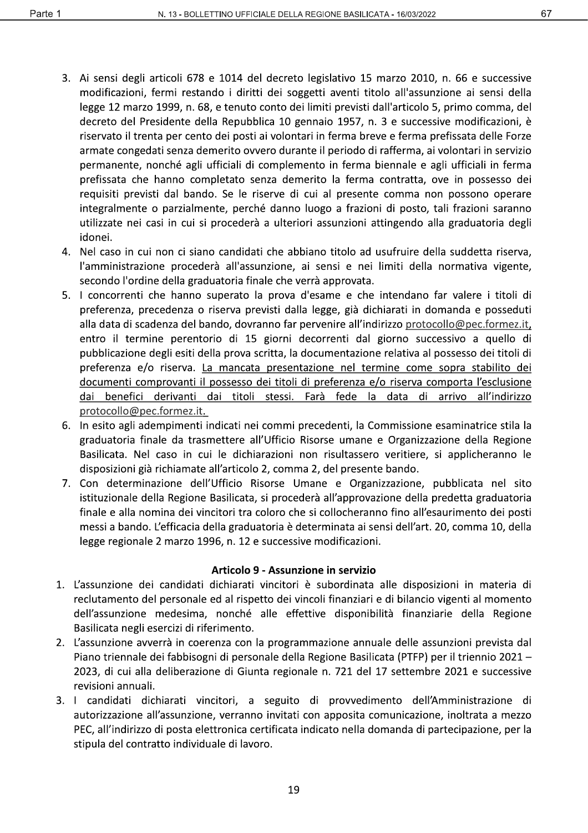- 3. Ai sensi degli articoli 678 e 1014 del decreto legislativo 15 marzo 2010, n. 66 e successive modificazioni, fermi restando i diritti dei soggetti aventi titolo all'assunzione ai sensi della legge 12 marzo 1999, n. 68, e tenuto conto dei limiti previsti dall'articolo 5, primo comma, del decreto del Presidente della Repubblica 10 gennaio 1957, n. 3 e successive modificazioni, è riservato il trenta per cento dei posti ai volontari in ferma breve e ferma prefissata delle Forze armate congedati senza demerito ovvero durante il periodo di rafferma, ai volontari in servizio permanente, nonché agli ufficiali di complemento in ferma biennale e agli ufficiali in ferma prefissata che hanno completato senza demerito la ferma contratta, ove in possesso dei requisiti previsti dal bando. Se le riserve di cui al presente comma non possono operare integralmente o parzialmente, perché danno luogo a frazioni di posto, tali frazioni saranno utilizzate nei casi in cui si procederà a ulteriori assunzioni attingendo alla graduatoria degli idonei.
- 4. Nel caso in cui non ci siano candidati che abbiano titolo ad usufruire della suddetta riserva, l'amministrazione procederà all'assunzione, ai sensi e nei limiti della normativa vigente, secondo l'ordine della graduatoria finale che verrà approvata.
- 5. I concorrenti che hanno superato la prova d'esame e che intendano far valere i titoli di preferenza, precedenza o riserva previsti dalla legge, già dichiarati in domanda e posseduti alla data di scadenza del bando, dovranno far pervenire all'indirizzo protocollo@pec.formez.it, entro il termine perentorio di 15 giorni decorrenti dal giorno successivo a quello di pubblicazione degli esiti della prova scritta, la documentazione relativa al possesso dei titoli di preferenza e/o riserva. La mancata presentazione nel termine come sopra stabilito dei documenti comprovanti il possesso dei titoli di preferenza e/o riserva comporta l'esclusione dai benefici derivanti dai titoli stessi. Farà fede la data di arrivo all'indirizzo protocollo@pec.formez.it.
- 6. In esito agli adempimenti indicati nei commi precedenti, la Commissione esaminatrice stila la graduatoria finale da trasmettere all'Ufficio Risorse umane e Organizzazione della Regione Basilicata. Nel caso in cui le dichiarazioni non risultassero veritiere, si applicheranno le disposizioni già richiamate all'articolo 2, comma 2, del presente bando.
- 7. Con determinazione dell'Ufficio Risorse Umane e Organizzazione, pubblicata nel sito istituzionale della Regione Basilicata, si procederà all'approvazione della predetta graduatoria finale e alla nomina dei vincitori tra coloro che si collocheranno fino all'esaurimento dei posti messi a bando. L'efficacia della graduatoria è determinata ai sensi dell'art. 20, comma 10, della legge regionale 2 marzo 1996, n. 12 e successive modificazioni.

#### Articolo 9 - Assunzione in servizio

- 1. L'assunzione dei candidati dichiarati vincitori è subordinata alle disposizioni in materia di reclutamento del personale ed al rispetto dei vincoli finanziari e di bilancio vigenti al momento dell'assunzione medesima, nonché alle effettive disponibilità finanziarie della Regione Basilicata negli esercizi di riferimento.
- 2. L'assunzione avverrà in coerenza con la programmazione annuale delle assunzioni prevista dal Piano triennale dei fabbisogni di personale della Regione Basilicata (PTFP) per il triennio 2021 -2023, di cui alla deliberazione di Giunta regionale n. 721 del 17 settembre 2021 e successive revisioni annuali.
- 3. I candidati dichiarati vincitori, a seguito di provvedimento dell'Amministrazione di autorizzazione all'assunzione, verranno invitati con apposita comunicazione, inoltrata a mezzo PEC, all'indirizzo di posta elettronica certificata indicato nella domanda di partecipazione, per la stipula del contratto individuale di lavoro.

67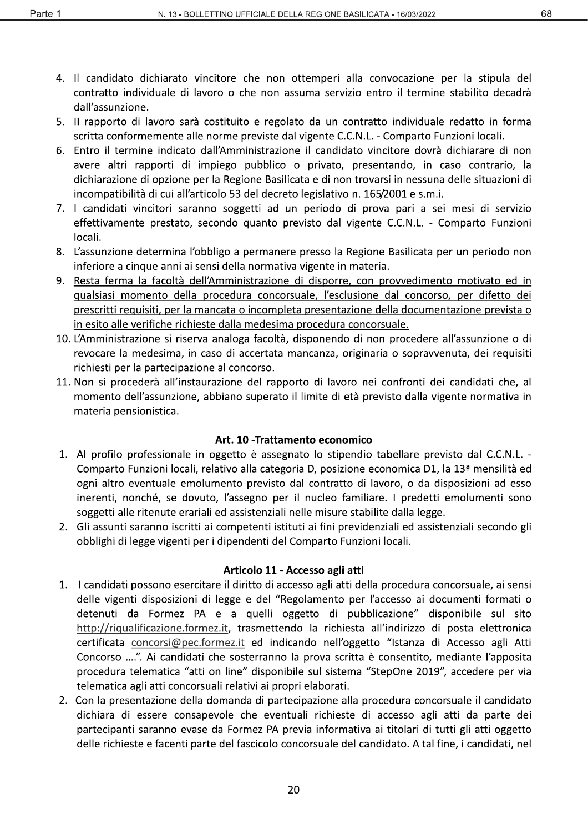- 4. Il candidato dichiarato vincitore che non ottemperi alla convocazione per la stipula del contratto individuale di lavoro o che non assuma servizio entro il termine stabilito decadrà dall'assunzione.
- 5. Il rapporto di lavoro sarà costituito e regolato da un contratto individuale redatto in forma scritta conformemente alle norme previste dal vigente C.C.N.L. - Comparto Funzioni locali.
- 6. Entro il termine indicato dall'Amministrazione il candidato vincitore dovrà dichiarare di non avere altri rapporti di impiego pubblico o privato, presentando, in caso contrario, la dichiarazione di opzione per la Regione Basilicata e di non trovarsi in nessuna delle situazioni di incompatibilità di cui all'articolo 53 del decreto legislativo n. 165/2001 e s.m.i.
- 7. I candidati vincitori saranno soggetti ad un periodo di prova pari a sei mesi di servizio effettivamente prestato, secondo quanto previsto dal vigente C.C.N.L. - Comparto Funzioni locali.
- 8. L'assunzione determina l'obbligo a permanere presso la Regione Basilicata per un periodo non inferiore a cinque anni ai sensi della normativa vigente in materia.
- 9. Resta ferma la facoltà dell'Amministrazione di disporre, con provvedimento motivato ed in qualsiasi momento della procedura concorsuale, l'esclusione dal concorso, per difetto dei prescritti requisiti, per la mancata o incompleta presentazione della documentazione prevista o in esito alle verifiche richieste dalla medesima procedura concorsuale.
- 10. L'Amministrazione si riserva analoga facoltà, disponendo di non procedere all'assunzione o di revocare la medesima, in caso di accertata mancanza, originaria o sopravvenuta, dei requisiti richiesti per la partecipazione al concorso.
- 11. Non si procederà all'instaurazione del rapporto di lavoro nei confronti dei candidati che, al momento dell'assunzione, abbiano superato il limite di età previsto dalla vigente normativa in materia pensionistica.

#### Art. 10 - Trattamento economico

- 1. Al profilo professionale in oggetto è assegnato lo stipendio tabellare previsto dal C.C.N.L. -Comparto Funzioni locali, relativo alla categoria D, posizione economica D1, la 13<sup>ª</sup> mensilità ed ogni altro eventuale emolumento previsto dal contratto di lavoro, o da disposizioni ad esso inerenti, nonché, se dovuto, l'assegno per il nucleo familiare. I predetti emolumenti sono soggetti alle ritenute erariali ed assistenziali nelle misure stabilite dalla legge.
- 2. Gli assunti saranno iscritti ai competenti istituti ai fini previdenziali ed assistenziali secondo gli obblighi di legge vigenti per i dipendenti del Comparto Funzioni locali.

#### Articolo 11 - Accesso agli atti

- 1. I candidati possono esercitare il diritto di accesso agli atti della procedura concorsuale, ai sensi delle vigenti disposizioni di legge e del "Regolamento per l'accesso ai documenti formati o detenuti da Formez PA e a quelli oggetto di pubblicazione" disponibile sul sito http://riqualificazione.formez.it, trasmettendo la richiesta all'indirizzo di posta elettronica certificata concorsi@pec.formez.it ed indicando nell'oggetto "Istanza di Accesso agli Atti Concorso ....". Ai candidati che sosterranno la prova scritta è consentito, mediante l'apposita procedura telematica "atti on line" disponibile sul sistema "StepOne 2019", accedere per via telematica agli atti concorsuali relativi ai propri elaborati.
- 2. Con la presentazione della domanda di partecipazione alla procedura concorsuale il candidato dichiara di essere consapevole che eventuali richieste di accesso agli atti da parte dei partecipanti saranno evase da Formez PA previa informativa ai titolari di tutti gli atti oggetto delle richieste e facenti parte del fascicolo concorsuale del candidato. A tal fine, i candidati, nel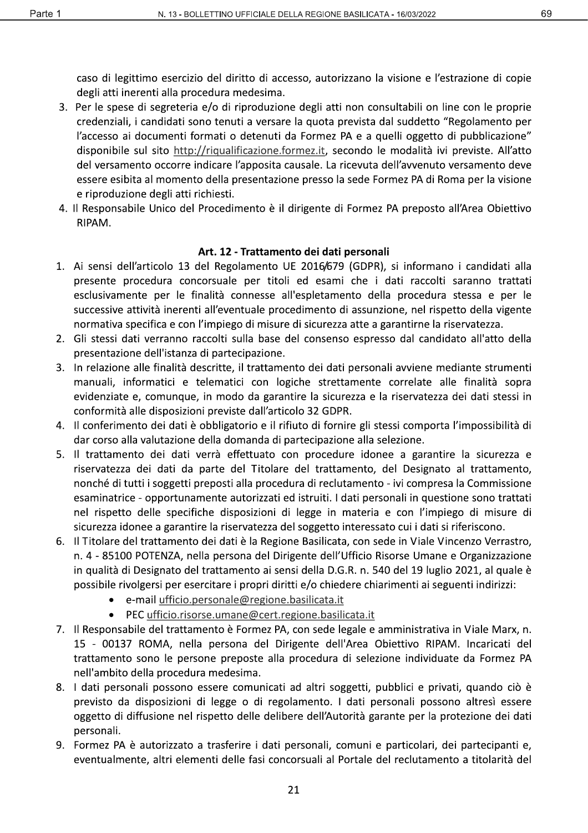caso di legittimo esercizio del diritto di accesso, autorizzano la visione e l'estrazione di copie degli atti inerenti alla procedura medesima.

- 3. Per le spese di segreteria e/o di riproduzione degli atti non consultabili on line con le proprie credenziali, i candidati sono tenuti a versare la quota prevista dal suddetto "Regolamento per l'accesso ai documenti formati o detenuti da Formez PA e a quelli oggetto di pubblicazione" disponibile sul sito http://riqualificazione.formez.it, secondo le modalità ivi previste. All'atto del versamento occorre indicare l'apposita causale. La ricevuta dell'avvenuto versamento deve essere esibita al momento della presentazione presso la sede Formez PA di Roma per la visione e riproduzione degli atti richiesti.
- 4. Il Responsabile Unico del Procedimento è il dirigente di Formez PA preposto all'Area Obiettivo RIPAM.

#### Art. 12 - Trattamento dei dati personali

- 1. Ai sensi dell'articolo 13 del Regolamento UE 2016/679 (GDPR), si informano i candidati alla presente procedura concorsuale per titoli ed esami che i dati raccolti saranno trattati esclusivamente per le finalità connesse all'espletamento della procedura stessa e per le successive attività inerenti all'eventuale procedimento di assunzione, nel rispetto della vigente normativa specifica e con l'impiego di misure di sicurezza atte a garantirne la riservatezza.
- 2. Gli stessi dati verranno raccolti sulla base del consenso espresso dal candidato all'atto della presentazione dell'istanza di partecipazione.
- 3. In relazione alle finalità descritte, il trattamento dei dati personali avviene mediante strumenti manuali, informatici e telematici con logiche strettamente correlate alle finalità sopra evidenziate e, comunque, in modo da garantire la sicurezza e la riservatezza dei dati stessi in conformità alle disposizioni previste dall'articolo 32 GDPR.
- 4. Il conferimento dei dati è obbligatorio e il rifiuto di fornire gli stessi comporta l'impossibilità di dar corso alla valutazione della domanda di partecipazione alla selezione.
- 5. Il trattamento dei dati verrà effettuato con procedure idonee a garantire la sicurezza e riservatezza dei dati da parte del Titolare del trattamento, del Designato al trattamento, nonché di tutti i soggetti preposti alla procedura di reclutamento - ivi compresa la Commissione esaminatrice - opportunamente autorizzati ed istruiti. I dati personali in questione sono trattati nel rispetto delle specifiche disposizioni di legge in materia e con l'impiego di misure di sicurezza idonee a garantire la riservatezza del soggetto interessato cui i dati si riferiscono.
- 6. Il Titolare del trattamento dei dati è la Regione Basilicata, con sede in Viale Vincenzo Verrastro, n. 4 - 85100 POTENZA, nella persona del Dirigente dell'Ufficio Risorse Umane e Organizzazione in qualità di Designato del trattamento ai sensi della D.G.R. n. 540 del 19 luglio 2021, al quale è possibile rivolgersi per esercitare i propri diritti e/o chiedere chiarimenti ai seguenti indirizzi:
	- e-mail ufficio.personale@regione.basilicata.it
	- PEC ufficio.risorse.umane@cert.regione.basilicata.it
- 7. Il Responsabile del trattamento è Formez PA, con sede legale e amministrativa in Viale Marx, n. 15 - 00137 ROMA, nella persona del Dirigente dell'Area Obiettivo RIPAM. Incaricati del trattamento sono le persone preposte alla procedura di selezione individuate da Formez PA nell'ambito della procedura medesima.
- 8. I dati personali possono essere comunicati ad altri soggetti, pubblici e privati, quando ciò è previsto da disposizioni di legge o di regolamento. I dati personali possono altresì essere oggetto di diffusione nel rispetto delle delibere dell'Autorità garante per la protezione dei dati personali.
- 9. Formez PA è autorizzato a trasferire i dati personali, comuni e particolari, dei partecipanti e, eventualmente, altri elementi delle fasi concorsuali al Portale del reclutamento a titolarità del